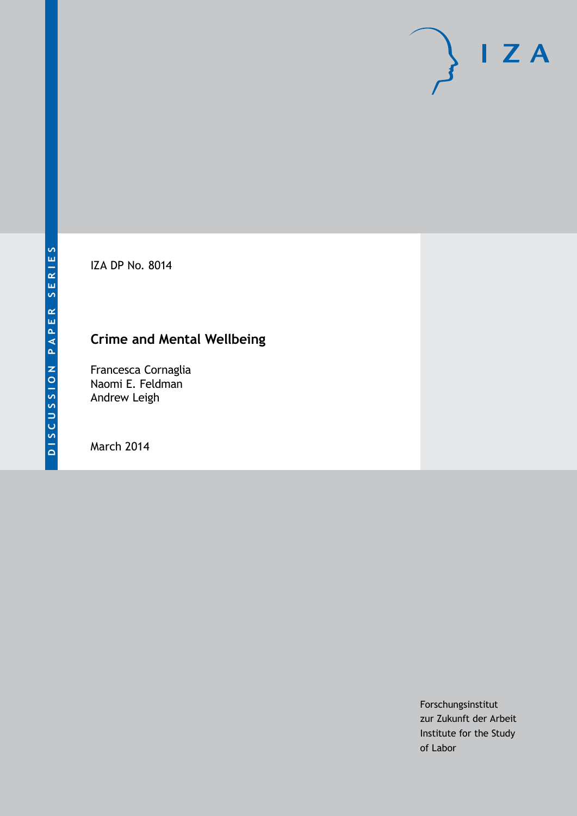IZA DP No. 8014

# **Crime and Mental Wellbeing**

Francesca Cornaglia Naomi E. Feldman Andrew Leigh

March 2014

Forschungsinstitut zur Zukunft der Arbeit Institute for the Study of Labor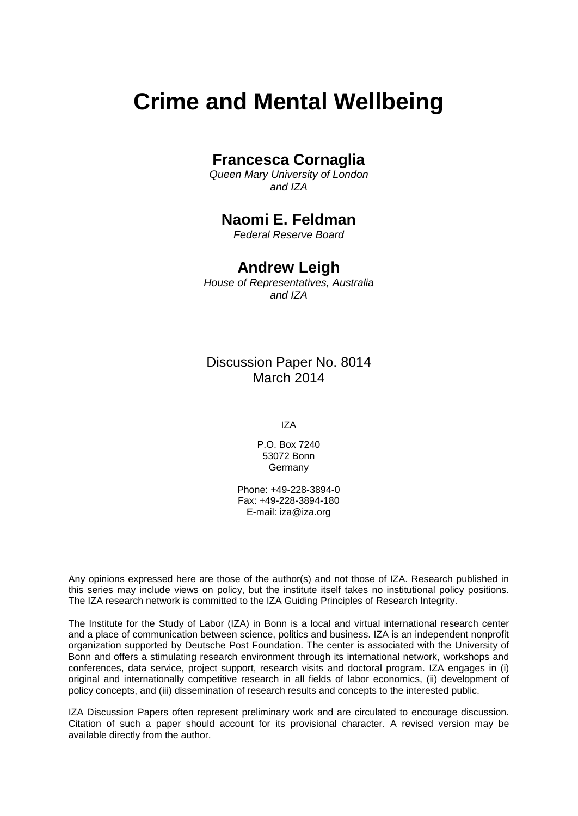# **Crime and Mental Wellbeing**

# **Francesca Cornaglia**

*Queen Mary University of London and IZA*

# **Naomi E. Feldman**

*Federal Reserve Board*

### **Andrew Leigh**

*House of Representatives, Australia and IZA*

Discussion Paper No. 8014 March 2014

IZA

P.O. Box 7240 53072 Bonn Germany

Phone: +49-228-3894-0 Fax: +49-228-3894-180 E-mail: [iza@iza.org](mailto:iza@iza.org)

Any opinions expressed here are those of the author(s) and not those of IZA. Research published in this series may include views on policy, but the institute itself takes no institutional policy positions. The IZA research network is committed to the IZA Guiding Principles of Research Integrity.

<span id="page-1-0"></span>The Institute for the Study of Labor (IZA) in Bonn is a local and virtual international research center and a place of communication between science, politics and business. IZA is an independent nonprofit organization supported by Deutsche Post Foundation. The center is associated with the University of Bonn and offers a stimulating research environment through its international network, workshops and conferences, data service, project support, research visits and doctoral program. IZA engages in (i) original and internationally competitive research in all fields of labor economics, (ii) development of policy concepts, and (iii) dissemination of research results and concepts to the interested public.

IZA Discussion Papers often represent preliminary work and are circulated to encourage discussion. Citation of such a paper should account for its provisional character. A revised version may be available directly from the author.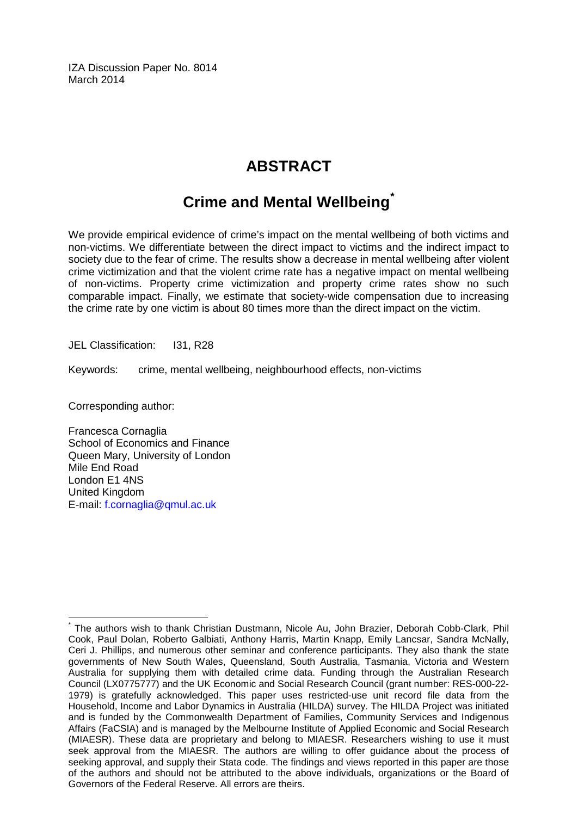IZA Discussion Paper No. 8014 March 2014

# **ABSTRACT**

# **Crime and Mental Wellbeing[\\*](#page-1-0)**

We provide empirical evidence of crime's impact on the mental wellbeing of both victims and non-victims. We differentiate between the direct impact to victims and the indirect impact to society due to the fear of crime. The results show a decrease in mental wellbeing after violent crime victimization and that the violent crime rate has a negative impact on mental wellbeing of non-victims. Property crime victimization and property crime rates show no such comparable impact. Finally, we estimate that society-wide compensation due to increasing the crime rate by one victim is about 80 times more than the direct impact on the victim.

JEL Classification: I31, R28

Keywords: crime, mental wellbeing, neighbourhood effects, non-victims

Corresponding author:

Francesca Cornaglia School of Economics and Finance Queen Mary, University of London Mile End Road London E1 4NS United Kingdom E-mail: [f.cornaglia@qmul.ac.uk](mailto:f.cornaglia@qmul.ac.uk)

\* The authors wish to thank Christian Dustmann, Nicole Au, John Brazier, Deborah Cobb-Clark, Phil Cook, Paul Dolan, Roberto Galbiati, Anthony Harris, Martin Knapp, Emily Lancsar, Sandra McNally, Ceri J. Phillips, and numerous other seminar and conference participants. They also thank the state governments of New South Wales, Queensland, South Australia, Tasmania, Victoria and Western Australia for supplying them with detailed crime data. Funding through the Australian Research Council (LX0775777) and the UK Economic and Social Research Council (grant number: RES-000-22- 1979) is gratefully acknowledged. This paper uses restricted-use unit record file data from the Household, Income and Labor Dynamics in Australia (HILDA) survey. The HILDA Project was initiated and is funded by the Commonwealth Department of Families, Community Services and Indigenous Affairs (FaCSIA) and is managed by the Melbourne Institute of Applied Economic and Social Research (MIAESR). These data are proprietary and belong to MIAESR. Researchers wishing to use it must seek approval from the MIAESR. The authors are willing to offer guidance about the process of seeking approval, and supply their Stata code. The findings and views reported in this paper are those of the authors and should not be attributed to the above individuals, organizations or the Board of Governors of the Federal Reserve. All errors are theirs.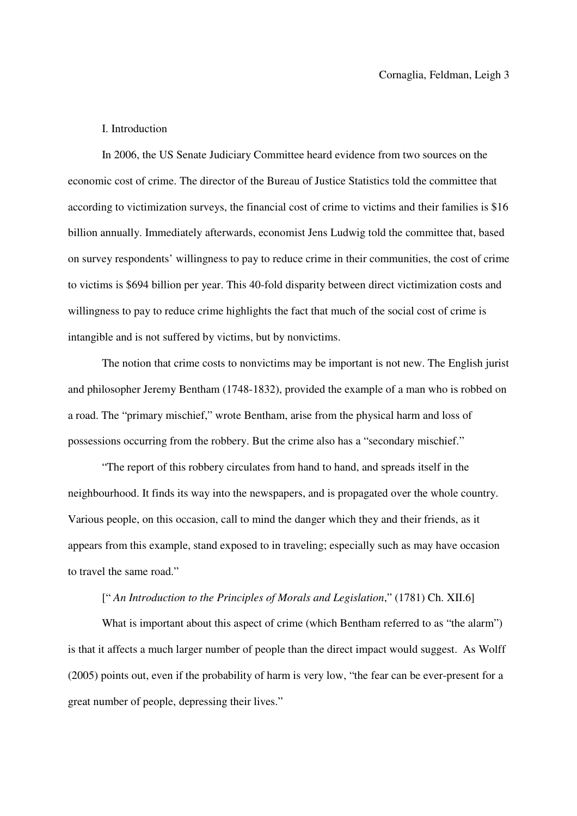#### I. Introduction

In 2006, the US Senate Judiciary Committee heard evidence from two sources on the economic cost of crime. The director of the Bureau of Justice Statistics told the committee that according to victimization surveys, the financial cost of crime to victims and their families is \$16 billion annually. Immediately afterwards, economist Jens Ludwig told the committee that, based on survey respondents' willingness to pay to reduce crime in their communities, the cost of crime to victims is \$694 billion per year. This 40-fold disparity between direct victimization costs and willingness to pay to reduce crime highlights the fact that much of the social cost of crime is intangible and is not suffered by victims, but by nonvictims.

The notion that crime costs to nonvictims may be important is not new. The English jurist and philosopher Jeremy Bentham (1748-1832), provided the example of a man who is robbed on a road. The "primary mischief," wrote Bentham, arise from the physical harm and loss of possessions occurring from the robbery. But the crime also has a "secondary mischief."

"The report of this robbery circulates from hand to hand, and spreads itself in the neighbourhood. It finds its way into the newspapers, and is propagated over the whole country. Various people, on this occasion, call to mind the danger which they and their friends, as it appears from this example, stand exposed to in traveling; especially such as may have occasion to travel the same road."

#### [" *An Introduction to the Principles of Morals and Legislation*," (1781) Ch. XII.6]

What is important about this aspect of crime (which Bentham referred to as "the alarm") is that it affects a much larger number of people than the direct impact would suggest. As Wolff (2005) points out, even if the probability of harm is very low, "the fear can be ever-present for a great number of people, depressing their lives."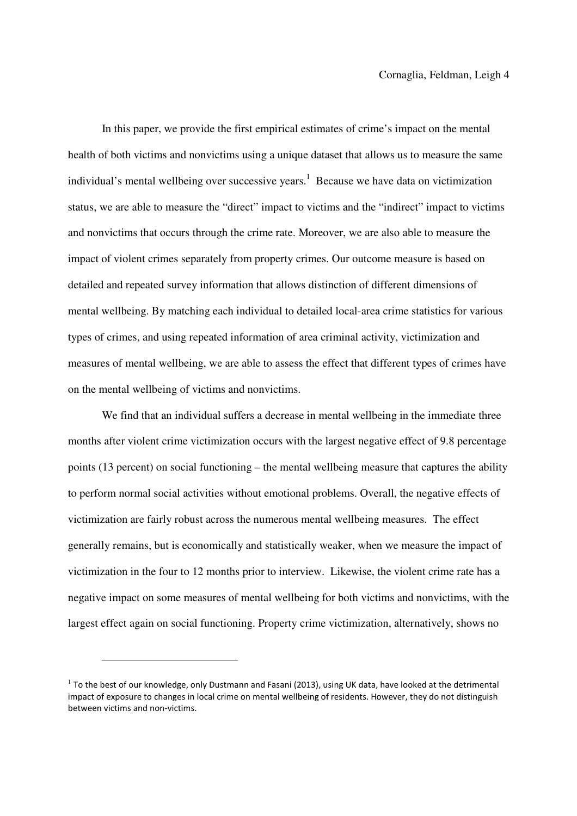In this paper, we provide the first empirical estimates of crime's impact on the mental health of both victims and nonvictims using a unique dataset that allows us to measure the same individual's mental wellbeing over successive years.<sup>1</sup> Because we have data on victimization status, we are able to measure the "direct" impact to victims and the "indirect" impact to victims and nonvictims that occurs through the crime rate. Moreover, we are also able to measure the impact of violent crimes separately from property crimes. Our outcome measure is based on detailed and repeated survey information that allows distinction of different dimensions of mental wellbeing. By matching each individual to detailed local-area crime statistics for various types of crimes, and using repeated information of area criminal activity, victimization and measures of mental wellbeing, we are able to assess the effect that different types of crimes have on the mental wellbeing of victims and nonvictims.

We find that an individual suffers a decrease in mental wellbeing in the immediate three months after violent crime victimization occurs with the largest negative effect of 9.8 percentage points (13 percent) on social functioning – the mental wellbeing measure that captures the ability to perform normal social activities without emotional problems. Overall, the negative effects of victimization are fairly robust across the numerous mental wellbeing measures. The effect generally remains, but is economically and statistically weaker, when we measure the impact of victimization in the four to 12 months prior to interview. Likewise, the violent crime rate has a negative impact on some measures of mental wellbeing for both victims and nonvictims, with the largest effect again on social functioning. Property crime victimization, alternatively, shows no

l

 $1$  To the best of our knowledge, only Dustmann and Fasani (2013), using UK data, have looked at the detrimental impact of exposure to changes in local crime on mental wellbeing of residents. However, they do not distinguish between victims and non-victims.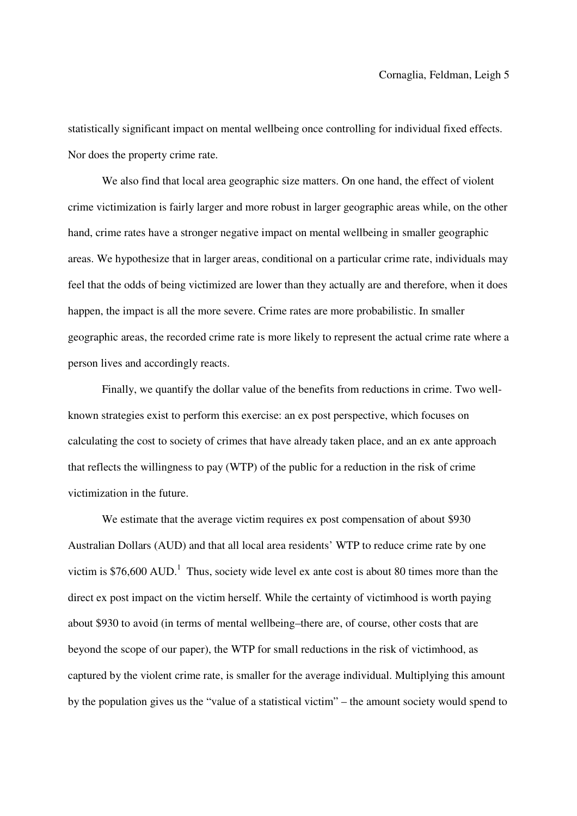statistically significant impact on mental wellbeing once controlling for individual fixed effects. Nor does the property crime rate.

We also find that local area geographic size matters. On one hand, the effect of violent crime victimization is fairly larger and more robust in larger geographic areas while, on the other hand, crime rates have a stronger negative impact on mental wellbeing in smaller geographic areas. We hypothesize that in larger areas, conditional on a particular crime rate, individuals may feel that the odds of being victimized are lower than they actually are and therefore, when it does happen, the impact is all the more severe. Crime rates are more probabilistic. In smaller geographic areas, the recorded crime rate is more likely to represent the actual crime rate where a person lives and accordingly reacts.

Finally, we quantify the dollar value of the benefits from reductions in crime. Two wellknown strategies exist to perform this exercise: an ex post perspective, which focuses on calculating the cost to society of crimes that have already taken place, and an ex ante approach that reflects the willingness to pay (WTP) of the public for a reduction in the risk of crime victimization in the future.

We estimate that the average victim requires ex post compensation of about \$930 Australian Dollars (AUD) and that all local area residents' WTP to reduce crime rate by one victim is \$76,600 AUD.<sup>1</sup> Thus, society wide level ex ante cost is about 80 times more than the direct ex post impact on the victim herself. While the certainty of victimhood is worth paying about \$930 to avoid (in terms of mental wellbeing–there are, of course, other costs that are beyond the scope of our paper), the WTP for small reductions in the risk of victimhood, as captured by the violent crime rate, is smaller for the average individual. Multiplying this amount by the population gives us the "value of a statistical victim" – the amount society would spend to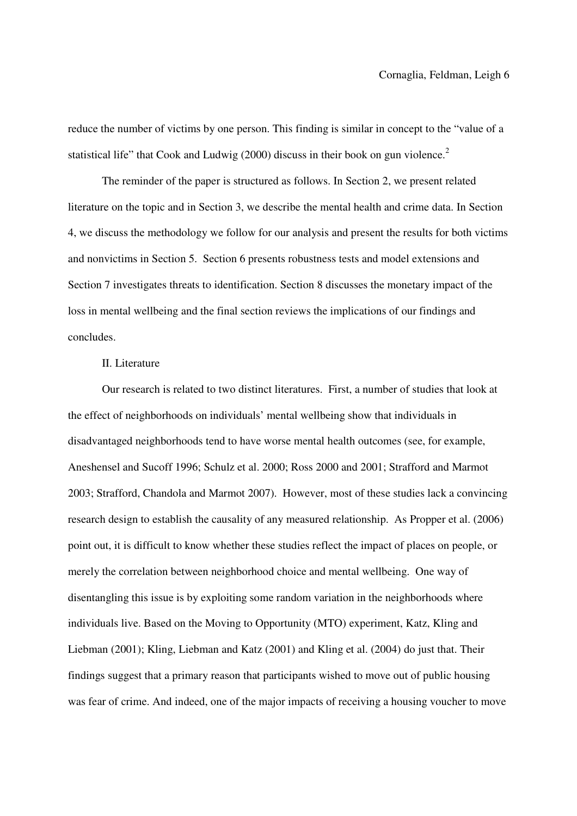reduce the number of victims by one person. This finding is similar in concept to the "value of a statistical life" that Cook and Ludwig (2000) discuss in their book on gun violence.<sup>2</sup>

The reminder of the paper is structured as follows. In Section 2, we present related literature on the topic and in Section 3, we describe the mental health and crime data. In Section 4, we discuss the methodology we follow for our analysis and present the results for both victims and nonvictims in Section 5. Section 6 presents robustness tests and model extensions and Section 7 investigates threats to identification. Section 8 discusses the monetary impact of the loss in mental wellbeing and the final section reviews the implications of our findings and concludes.

#### II. Literature

Our research is related to two distinct literatures. First, a number of studies that look at the effect of neighborhoods on individuals' mental wellbeing show that individuals in disadvantaged neighborhoods tend to have worse mental health outcomes (see, for example, Aneshensel and Sucoff 1996; Schulz et al. 2000; Ross 2000 and 2001; Strafford and Marmot 2003; Strafford, Chandola and Marmot 2007). However, most of these studies lack a convincing research design to establish the causality of any measured relationship. As Propper et al. (2006) point out, it is difficult to know whether these studies reflect the impact of places on people, or merely the correlation between neighborhood choice and mental wellbeing. One way of disentangling this issue is by exploiting some random variation in the neighborhoods where individuals live. Based on the Moving to Opportunity (MTO) experiment, Katz, Kling and Liebman (2001); Kling, Liebman and Katz (2001) and Kling et al. (2004) do just that. Their findings suggest that a primary reason that participants wished to move out of public housing was fear of crime. And indeed, one of the major impacts of receiving a housing voucher to move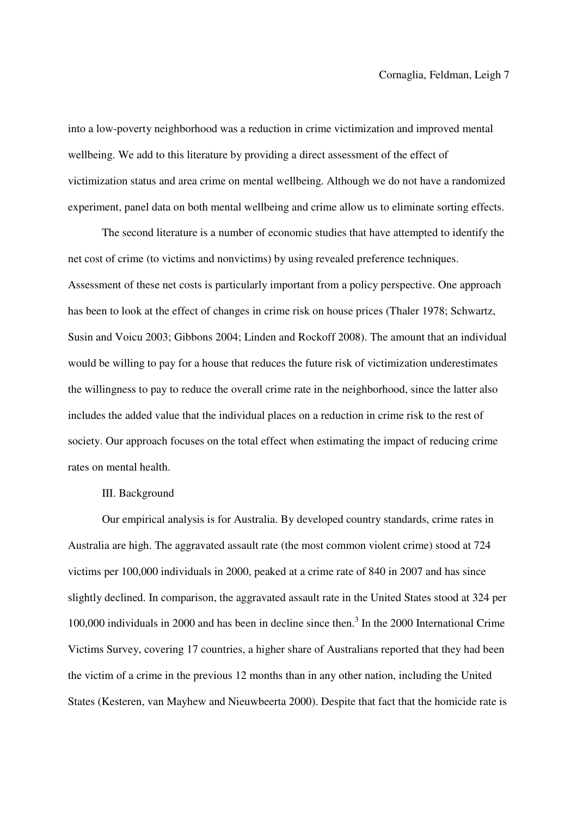into a low-poverty neighborhood was a reduction in crime victimization and improved mental wellbeing. We add to this literature by providing a direct assessment of the effect of victimization status and area crime on mental wellbeing. Although we do not have a randomized experiment, panel data on both mental wellbeing and crime allow us to eliminate sorting effects.

The second literature is a number of economic studies that have attempted to identify the net cost of crime (to victims and nonvictims) by using revealed preference techniques. Assessment of these net costs is particularly important from a policy perspective. One approach has been to look at the effect of changes in crime risk on house prices (Thaler 1978; Schwartz, Susin and Voicu 2003; Gibbons 2004; Linden and Rockoff 2008). The amount that an individual would be willing to pay for a house that reduces the future risk of victimization underestimates the willingness to pay to reduce the overall crime rate in the neighborhood, since the latter also includes the added value that the individual places on a reduction in crime risk to the rest of society. Our approach focuses on the total effect when estimating the impact of reducing crime rates on mental health.

#### III. Background

Our empirical analysis is for Australia. By developed country standards, crime rates in Australia are high. The aggravated assault rate (the most common violent crime) stood at 724 victims per 100,000 individuals in 2000, peaked at a crime rate of 840 in 2007 and has since slightly declined. In comparison, the aggravated assault rate in the United States stood at 324 per 100,000 individuals in 2000 and has been in decline since then.<sup>3</sup> In the 2000 International Crime Victims Survey, covering 17 countries, a higher share of Australians reported that they had been the victim of a crime in the previous 12 months than in any other nation, including the United States (Kesteren, van Mayhew and Nieuwbeerta 2000). Despite that fact that the homicide rate is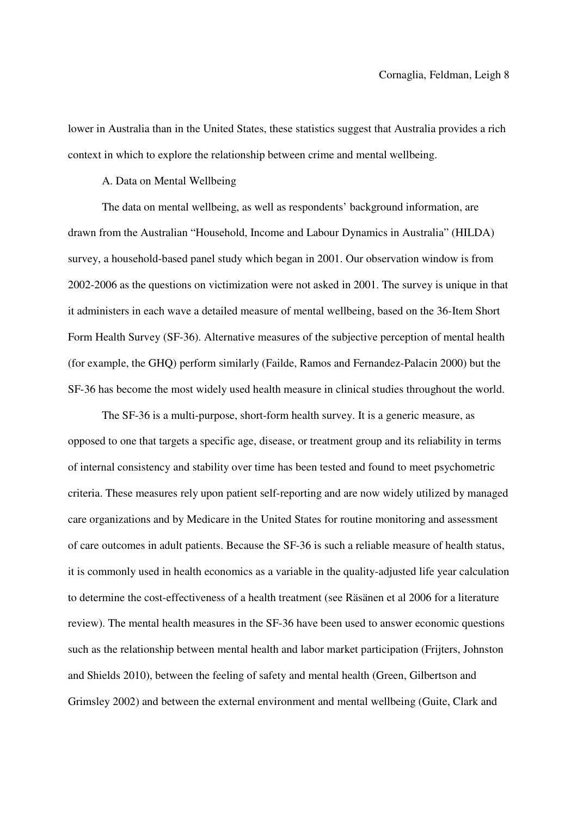lower in Australia than in the United States, these statistics suggest that Australia provides a rich context in which to explore the relationship between crime and mental wellbeing.

#### A. Data on Mental Wellbeing

The data on mental wellbeing, as well as respondents' background information, are drawn from the Australian "Household, Income and Labour Dynamics in Australia" (HILDA) survey, a household-based panel study which began in 2001. Our observation window is from 2002-2006 as the questions on victimization were not asked in 2001. The survey is unique in that it administers in each wave a detailed measure of mental wellbeing, based on the 36-Item Short Form Health Survey (SF-36). Alternative measures of the subjective perception of mental health (for example, the GHQ) perform similarly (Failde, Ramos and Fernandez-Palacin 2000) but the SF-36 has become the most widely used health measure in clinical studies throughout the world.

The SF-36 is a multi-purpose, short-form health survey. It is a generic measure, as opposed to one that targets a specific age, disease, or treatment group and its reliability in terms of internal consistency and stability over time has been tested and found to meet psychometric criteria. These measures rely upon patient self-reporting and are now widely utilized by managed care organizations and by Medicare in the United States for routine monitoring and assessment of care outcomes in adult patients. Because the SF-36 is such a reliable measure of health status, it is commonly used in health economics as a variable in the quality-adjusted life year calculation to determine the cost-effectiveness of a health treatment (see Räsänen et al 2006 for a literature review). The mental health measures in the SF-36 have been used to answer economic questions such as the relationship between mental health and labor market participation (Frijters, Johnston and Shields 2010), between the feeling of safety and mental health (Green, Gilbertson and Grimsley 2002) and between the external environment and mental wellbeing (Guite, Clark and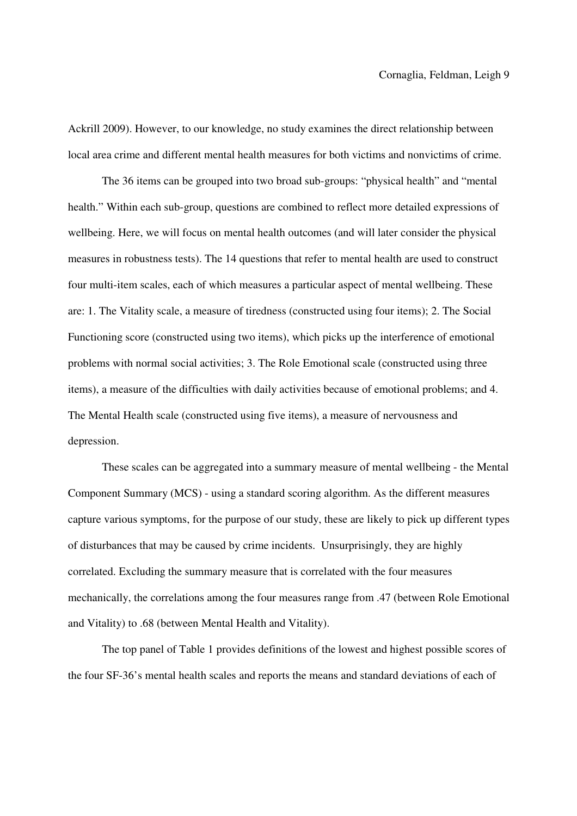Ackrill 2009). However, to our knowledge, no study examines the direct relationship between local area crime and different mental health measures for both victims and nonvictims of crime.

The 36 items can be grouped into two broad sub-groups: "physical health" and "mental health." Within each sub-group, questions are combined to reflect more detailed expressions of wellbeing. Here, we will focus on mental health outcomes (and will later consider the physical measures in robustness tests). The 14 questions that refer to mental health are used to construct four multi-item scales, each of which measures a particular aspect of mental wellbeing. These are: 1. The Vitality scale, a measure of tiredness (constructed using four items); 2. The Social Functioning score (constructed using two items), which picks up the interference of emotional problems with normal social activities; 3. The Role Emotional scale (constructed using three items), a measure of the difficulties with daily activities because of emotional problems; and 4. The Mental Health scale (constructed using five items), a measure of nervousness and depression.

These scales can be aggregated into a summary measure of mental wellbeing - the Mental Component Summary (MCS) - using a standard scoring algorithm. As the different measures capture various symptoms, for the purpose of our study, these are likely to pick up different types of disturbances that may be caused by crime incidents. Unsurprisingly, they are highly correlated. Excluding the summary measure that is correlated with the four measures mechanically, the correlations among the four measures range from .47 (between Role Emotional and Vitality) to .68 (between Mental Health and Vitality).

The top panel of Table 1 provides definitions of the lowest and highest possible scores of the four SF-36's mental health scales and reports the means and standard deviations of each of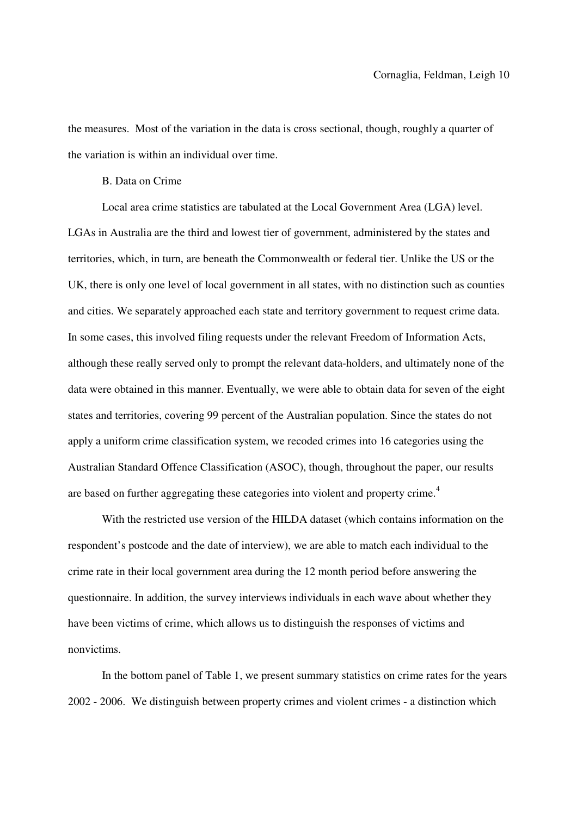the measures. Most of the variation in the data is cross sectional, though, roughly a quarter of the variation is within an individual over time.

#### B. Data on Crime

Local area crime statistics are tabulated at the Local Government Area (LGA) level. LGAs in Australia are the third and lowest tier of government, administered by the states and territories, which, in turn, are beneath the Commonwealth or federal tier. Unlike the US or the UK, there is only one level of local government in all states, with no distinction such as counties and cities. We separately approached each state and territory government to request crime data. In some cases, this involved filing requests under the relevant Freedom of Information Acts, although these really served only to prompt the relevant data-holders, and ultimately none of the data were obtained in this manner. Eventually, we were able to obtain data for seven of the eight states and territories, covering 99 percent of the Australian population. Since the states do not apply a uniform crime classification system, we recoded crimes into 16 categories using the Australian Standard Offence Classification (ASOC), though, throughout the paper, our results are based on further aggregating these categories into violent and property crime.<sup>4</sup>

With the restricted use version of the HILDA dataset (which contains information on the respondent's postcode and the date of interview), we are able to match each individual to the crime rate in their local government area during the 12 month period before answering the questionnaire. In addition, the survey interviews individuals in each wave about whether they have been victims of crime, which allows us to distinguish the responses of victims and nonvictims.

In the bottom panel of Table 1, we present summary statistics on crime rates for the years 2002 - 2006. We distinguish between property crimes and violent crimes - a distinction which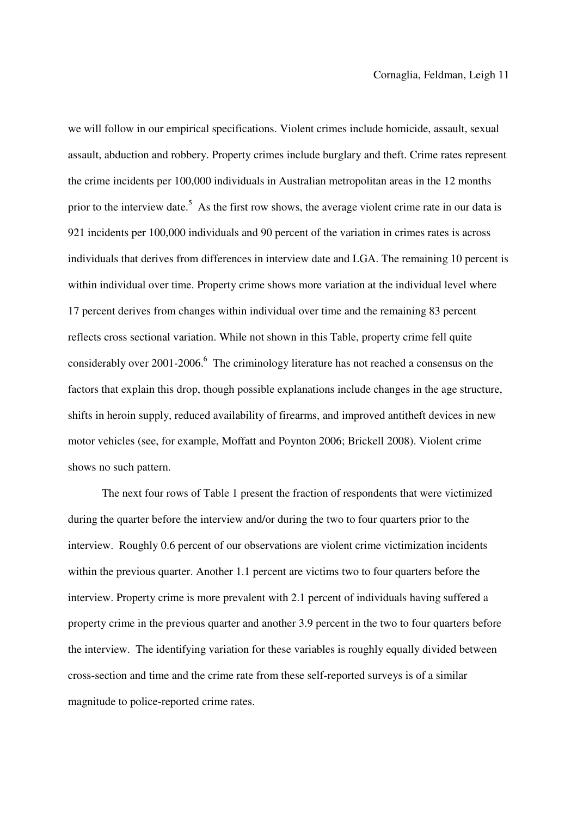we will follow in our empirical specifications. Violent crimes include homicide, assault, sexual assault, abduction and robbery. Property crimes include burglary and theft. Crime rates represent the crime incidents per 100,000 individuals in Australian metropolitan areas in the 12 months prior to the interview date.<sup>5</sup> As the first row shows, the average violent crime rate in our data is 921 incidents per 100,000 individuals and 90 percent of the variation in crimes rates is across individuals that derives from differences in interview date and LGA. The remaining 10 percent is within individual over time. Property crime shows more variation at the individual level where 17 percent derives from changes within individual over time and the remaining 83 percent reflects cross sectional variation. While not shown in this Table, property crime fell quite considerably over 2001-2006.<sup>6</sup> The criminology literature has not reached a consensus on the factors that explain this drop, though possible explanations include changes in the age structure, shifts in heroin supply, reduced availability of firearms, and improved antitheft devices in new motor vehicles (see, for example, Moffatt and Poynton 2006; Brickell 2008). Violent crime shows no such pattern.

The next four rows of Table 1 present the fraction of respondents that were victimized during the quarter before the interview and/or during the two to four quarters prior to the interview. Roughly 0.6 percent of our observations are violent crime victimization incidents within the previous quarter. Another 1.1 percent are victims two to four quarters before the interview. Property crime is more prevalent with 2.1 percent of individuals having suffered a property crime in the previous quarter and another 3.9 percent in the two to four quarters before the interview. The identifying variation for these variables is roughly equally divided between cross-section and time and the crime rate from these self-reported surveys is of a similar magnitude to police-reported crime rates.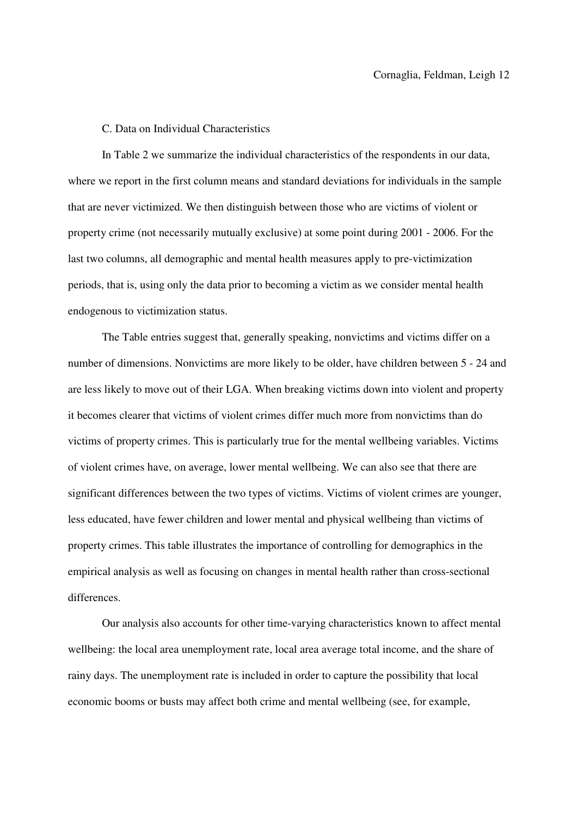#### C. Data on Individual Characteristics

In Table 2 we summarize the individual characteristics of the respondents in our data, where we report in the first column means and standard deviations for individuals in the sample that are never victimized. We then distinguish between those who are victims of violent or property crime (not necessarily mutually exclusive) at some point during 2001 - 2006. For the last two columns, all demographic and mental health measures apply to pre-victimization periods, that is, using only the data prior to becoming a victim as we consider mental health endogenous to victimization status.

The Table entries suggest that, generally speaking, nonvictims and victims differ on a number of dimensions. Nonvictims are more likely to be older, have children between 5 - 24 and are less likely to move out of their LGA. When breaking victims down into violent and property it becomes clearer that victims of violent crimes differ much more from nonvictims than do victims of property crimes. This is particularly true for the mental wellbeing variables. Victims of violent crimes have, on average, lower mental wellbeing. We can also see that there are significant differences between the two types of victims. Victims of violent crimes are younger, less educated, have fewer children and lower mental and physical wellbeing than victims of property crimes. This table illustrates the importance of controlling for demographics in the empirical analysis as well as focusing on changes in mental health rather than cross-sectional differences.

Our analysis also accounts for other time-varying characteristics known to affect mental wellbeing: the local area unemployment rate, local area average total income, and the share of rainy days. The unemployment rate is included in order to capture the possibility that local economic booms or busts may affect both crime and mental wellbeing (see, for example,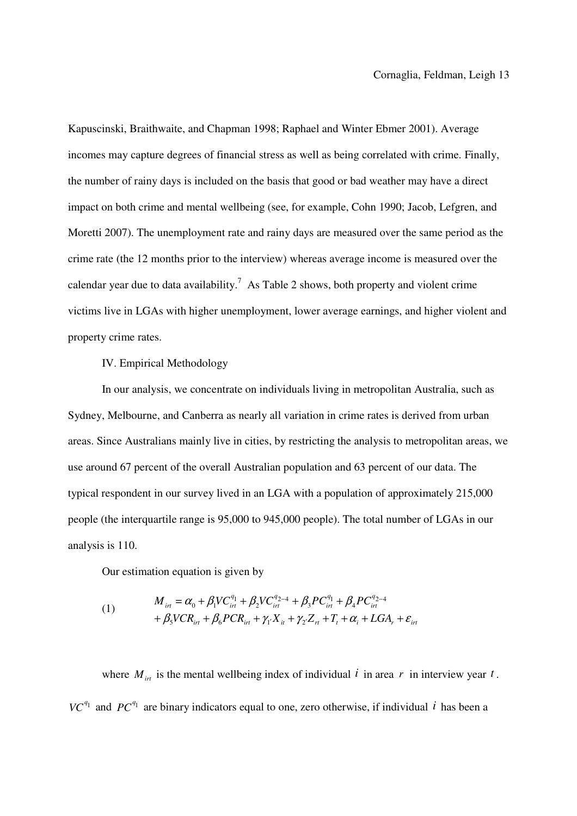Kapuscinski, Braithwaite, and Chapman 1998; Raphael and Winter Ebmer 2001). Average incomes may capture degrees of financial stress as well as being correlated with crime. Finally, the number of rainy days is included on the basis that good or bad weather may have a direct impact on both crime and mental wellbeing (see, for example, Cohn 1990; Jacob, Lefgren, and Moretti 2007). The unemployment rate and rainy days are measured over the same period as the crime rate (the 12 months prior to the interview) whereas average income is measured over the calendar year due to data availability.<sup>7</sup> As Table 2 shows, both property and violent crime victims live in LGAs with higher unemployment, lower average earnings, and higher violent and property crime rates.

#### IV. Empirical Methodology

In our analysis, we concentrate on individuals living in metropolitan Australia, such as Sydney, Melbourne, and Canberra as nearly all variation in crime rates is derived from urban areas. Since Australians mainly live in cities, by restricting the analysis to metropolitan areas, we use around 67 percent of the overall Australian population and 63 percent of our data. The typical respondent in our survey lived in an LGA with a population of approximately 215,000 people (the interquartile range is 95,000 to 945,000 people). The total number of LGAs in our analysis is 110.

Our estimation equation is given by

(1) 
$$
M_{irt} = \alpha_0 + \beta_1 V C_{irt}^{q_1} + \beta_2 V C_{irt}^{q_{2-4}} + \beta_3 P C_{irt}^{q_1} + \beta_4 P C_{irt}^{q_{2-4}} + \beta_5 V C R_{irt} + \beta_6 P C R_{irt} + \gamma_1 X_{it} + \gamma_2 Z_{rt} + T_t + \alpha_i + L G A_r + \varepsilon_{irt}
$$

where  $M_{int}$  is the mental wellbeing index of individual i in area r in interview year t.  $VC^{q_1}$  and  $PC^{q_1}$  are binary indicators equal to one, zero otherwise, if individual *i* has been a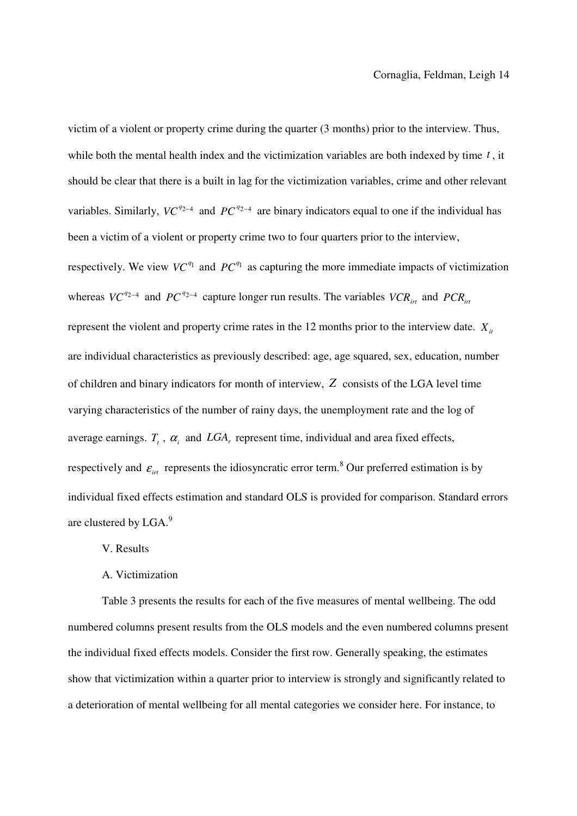victim of a violent or property crime during the quarter (3 months) prior to the interview. Thus, while both the mental health index and the victimization variables are both indexed by time  $t$ , it should be clear that there is a built in lag for the victimization variables, crime and other relevant variables. Similarly,  $VC^{q_{2-4}}$  and  $PC^{q_{2-4}}$  are binary indicators equal to one if the individual has been a victim of a violent or property crime two to four quarters prior to the interview, respectively. We view  $VC^{q_1}$  and  $PC^{q_1}$  as capturing the more immediate impacts of victimization whereas  $VC^{q_{2-4}}$  and  $PC^{q_{2-4}}$  capture longer run results. The variables  $VCR_{int}$  and  $PCR_{int}$ represent the violent and property crime rates in the 12 months prior to the interview date.  $X_i$ are individual characteristics as previously described: age, age squared, sex, education, number of children and binary indicators for month of interview,  $Z$  consists of the LGA level time varying characteristics of the number of rainy days, the unemployment rate and the log of average earnings.  $T_t$ ,  $\alpha_i$  and  $LGA$ , represent time, individual and area fixed effects, respectively and  $\varepsilon_{irt}$  represents the idiosyncratic error term.<sup>8</sup> Our preferred estimation is by individual fixed effects estimation and standard OLS is provided for comparison. Standard errors are clustered by LGA.<sup>9</sup>

#### V. Results

#### A. Victimization

Table 3 presents the results for each of the five measures of mental wellbeing. The odd numbered columns present results from the OLS models and the even numbered columns present the individual fixed effects models. Consider the first row. Generally speaking, the estimates show that victimization within a quarter prior to interview is strongly and significantly related to a deterioration of mental wellbeing for all mental categories we consider here. For instance, to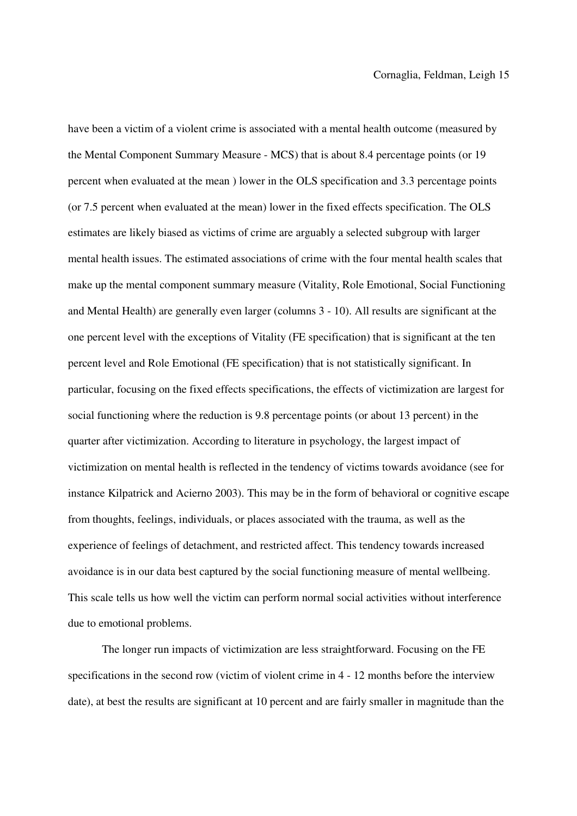have been a victim of a violent crime is associated with a mental health outcome (measured by the Mental Component Summary Measure - MCS) that is about 8.4 percentage points (or 19 percent when evaluated at the mean ) lower in the OLS specification and 3.3 percentage points (or 7.5 percent when evaluated at the mean) lower in the fixed effects specification. The OLS estimates are likely biased as victims of crime are arguably a selected subgroup with larger mental health issues. The estimated associations of crime with the four mental health scales that make up the mental component summary measure (Vitality, Role Emotional, Social Functioning and Mental Health) are generally even larger (columns 3 - 10). All results are significant at the one percent level with the exceptions of Vitality (FE specification) that is significant at the ten percent level and Role Emotional (FE specification) that is not statistically significant. In particular, focusing on the fixed effects specifications, the effects of victimization are largest for social functioning where the reduction is 9.8 percentage points (or about 13 percent) in the quarter after victimization. According to literature in psychology, the largest impact of victimization on mental health is reflected in the tendency of victims towards avoidance (see for instance Kilpatrick and Acierno 2003). This may be in the form of behavioral or cognitive escape from thoughts, feelings, individuals, or places associated with the trauma, as well as the experience of feelings of detachment, and restricted affect. This tendency towards increased avoidance is in our data best captured by the social functioning measure of mental wellbeing. This scale tells us how well the victim can perform normal social activities without interference due to emotional problems.

The longer run impacts of victimization are less straightforward. Focusing on the FE specifications in the second row (victim of violent crime in 4 - 12 months before the interview date), at best the results are significant at 10 percent and are fairly smaller in magnitude than the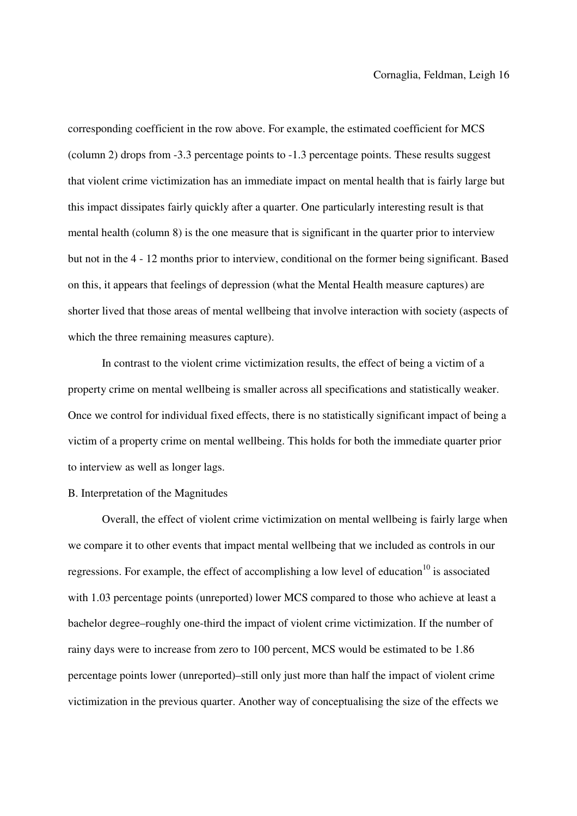corresponding coefficient in the row above. For example, the estimated coefficient for MCS (column 2) drops from -3.3 percentage points to -1.3 percentage points. These results suggest that violent crime victimization has an immediate impact on mental health that is fairly large but this impact dissipates fairly quickly after a quarter. One particularly interesting result is that mental health (column 8) is the one measure that is significant in the quarter prior to interview but not in the 4 - 12 months prior to interview, conditional on the former being significant. Based on this, it appears that feelings of depression (what the Mental Health measure captures) are shorter lived that those areas of mental wellbeing that involve interaction with society (aspects of which the three remaining measures capture).

In contrast to the violent crime victimization results, the effect of being a victim of a property crime on mental wellbeing is smaller across all specifications and statistically weaker. Once we control for individual fixed effects, there is no statistically significant impact of being a victim of a property crime on mental wellbeing. This holds for both the immediate quarter prior to interview as well as longer lags.

#### B. Interpretation of the Magnitudes

Overall, the effect of violent crime victimization on mental wellbeing is fairly large when we compare it to other events that impact mental wellbeing that we included as controls in our regressions. For example, the effect of accomplishing a low level of education $10$  is associated with 1.03 percentage points (unreported) lower MCS compared to those who achieve at least a bachelor degree–roughly one-third the impact of violent crime victimization. If the number of rainy days were to increase from zero to 100 percent, MCS would be estimated to be 1.86 percentage points lower (unreported)–still only just more than half the impact of violent crime victimization in the previous quarter. Another way of conceptualising the size of the effects we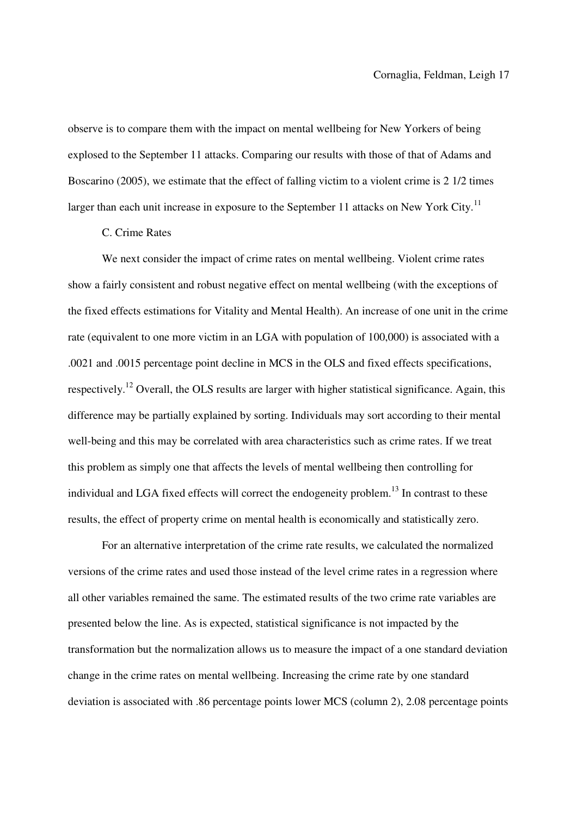observe is to compare them with the impact on mental wellbeing for New Yorkers of being explosed to the September 11 attacks. Comparing our results with those of that of Adams and Boscarino (2005), we estimate that the effect of falling victim to a violent crime is 2 1/2 times larger than each unit increase in exposure to the September 11 attacks on New York City.<sup>11</sup>

#### C. Crime Rates

We next consider the impact of crime rates on mental wellbeing. Violent crime rates show a fairly consistent and robust negative effect on mental wellbeing (with the exceptions of the fixed effects estimations for Vitality and Mental Health). An increase of one unit in the crime rate (equivalent to one more victim in an LGA with population of 100,000) is associated with a .0021 and .0015 percentage point decline in MCS in the OLS and fixed effects specifications, respectively.<sup>12</sup> Overall, the OLS results are larger with higher statistical significance. Again, this difference may be partially explained by sorting. Individuals may sort according to their mental well-being and this may be correlated with area characteristics such as crime rates. If we treat this problem as simply one that affects the levels of mental wellbeing then controlling for individual and LGA fixed effects will correct the endogeneity problem.<sup>13</sup> In contrast to these results, the effect of property crime on mental health is economically and statistically zero.

For an alternative interpretation of the crime rate results, we calculated the normalized versions of the crime rates and used those instead of the level crime rates in a regression where all other variables remained the same. The estimated results of the two crime rate variables are presented below the line. As is expected, statistical significance is not impacted by the transformation but the normalization allows us to measure the impact of a one standard deviation change in the crime rates on mental wellbeing. Increasing the crime rate by one standard deviation is associated with .86 percentage points lower MCS (column 2), 2.08 percentage points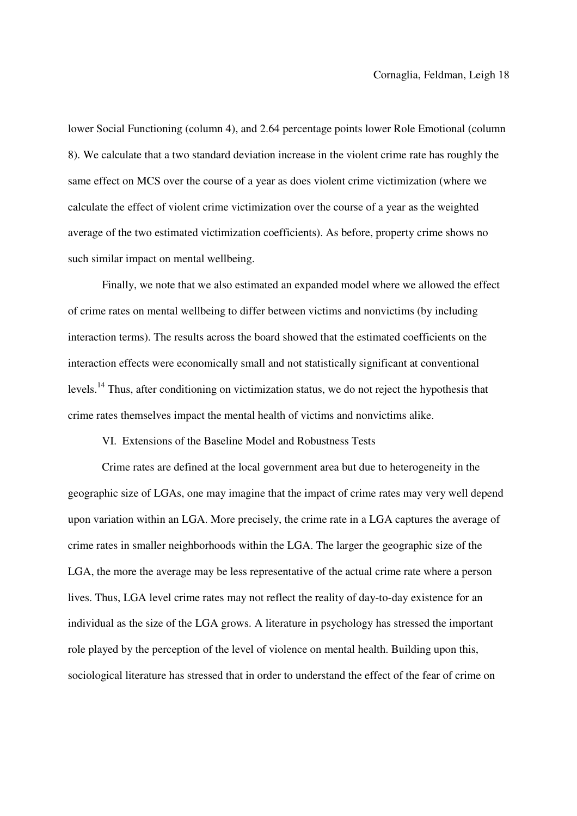lower Social Functioning (column 4), and 2.64 percentage points lower Role Emotional (column 8). We calculate that a two standard deviation increase in the violent crime rate has roughly the same effect on MCS over the course of a year as does violent crime victimization (where we calculate the effect of violent crime victimization over the course of a year as the weighted average of the two estimated victimization coefficients). As before, property crime shows no such similar impact on mental wellbeing.

Finally, we note that we also estimated an expanded model where we allowed the effect of crime rates on mental wellbeing to differ between victims and nonvictims (by including interaction terms). The results across the board showed that the estimated coefficients on the interaction effects were economically small and not statistically significant at conventional levels.<sup>14</sup> Thus, after conditioning on victimization status, we do not reject the hypothesis that crime rates themselves impact the mental health of victims and nonvictims alike.

VI. Extensions of the Baseline Model and Robustness Tests

Crime rates are defined at the local government area but due to heterogeneity in the geographic size of LGAs, one may imagine that the impact of crime rates may very well depend upon variation within an LGA. More precisely, the crime rate in a LGA captures the average of crime rates in smaller neighborhoods within the LGA. The larger the geographic size of the LGA, the more the average may be less representative of the actual crime rate where a person lives. Thus, LGA level crime rates may not reflect the reality of day-to-day existence for an individual as the size of the LGA grows. A literature in psychology has stressed the important role played by the perception of the level of violence on mental health. Building upon this, sociological literature has stressed that in order to understand the effect of the fear of crime on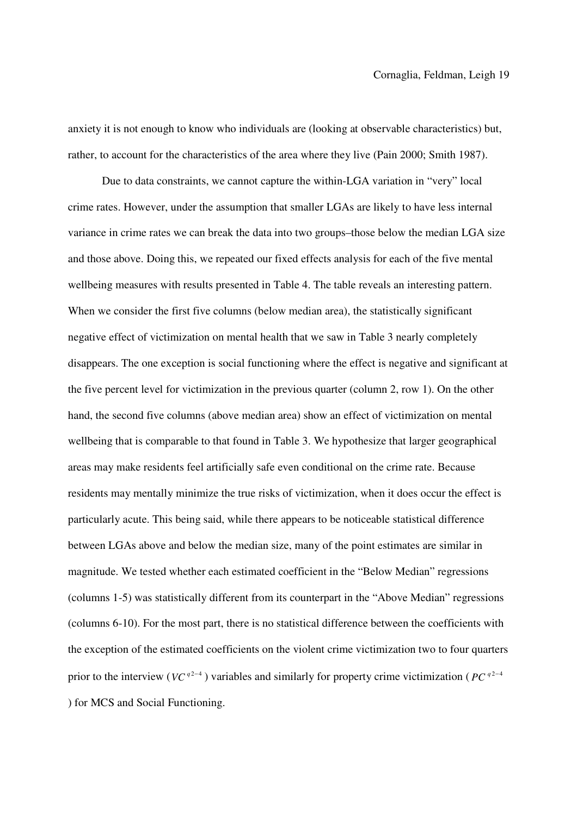anxiety it is not enough to know who individuals are (looking at observable characteristics) but, rather, to account for the characteristics of the area where they live (Pain 2000; Smith 1987).

Due to data constraints, we cannot capture the within-LGA variation in "very" local crime rates. However, under the assumption that smaller LGAs are likely to have less internal variance in crime rates we can break the data into two groups–those below the median LGA size and those above. Doing this, we repeated our fixed effects analysis for each of the five mental wellbeing measures with results presented in Table 4. The table reveals an interesting pattern. When we consider the first five columns (below median area), the statistically significant negative effect of victimization on mental health that we saw in Table 3 nearly completely disappears. The one exception is social functioning where the effect is negative and significant at the five percent level for victimization in the previous quarter (column 2, row 1). On the other hand, the second five columns (above median area) show an effect of victimization on mental wellbeing that is comparable to that found in Table 3. We hypothesize that larger geographical areas may make residents feel artificially safe even conditional on the crime rate. Because residents may mentally minimize the true risks of victimization, when it does occur the effect is particularly acute. This being said, while there appears to be noticeable statistical difference between LGAs above and below the median size, many of the point estimates are similar in magnitude. We tested whether each estimated coefficient in the "Below Median" regressions (columns 1-5) was statistically different from its counterpart in the "Above Median" regressions (columns 6-10). For the most part, there is no statistical difference between the coefficients with the exception of the estimated coefficients on the violent crime victimization two to four quarters prior to the interview ( $VC^{q^2-4}$ ) variables and similarly for property crime victimization ( $PC^{q^2-4}$ ) for MCS and Social Functioning.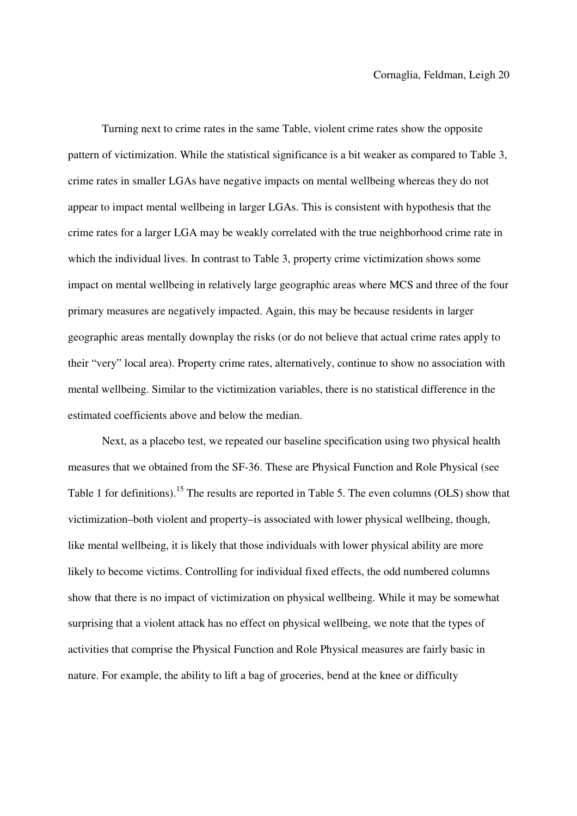Turning next to crime rates in the same Table, violent crime rates show the opposite pattern of victimization. While the statistical significance is a bit weaker as compared to Table 3, crime rates in smaller LGAs have negative impacts on mental wellbeing whereas they do not appear to impact mental wellbeing in larger LGAs. This is consistent with hypothesis that the crime rates for a larger LGA may be weakly correlated with the true neighborhood crime rate in which the individual lives. In contrast to Table 3, property crime victimization shows some impact on mental wellbeing in relatively large geographic areas where MCS and three of the four primary measures are negatively impacted. Again, this may be because residents in larger geographic areas mentally downplay the risks (or do not believe that actual crime rates apply to their "very" local area). Property crime rates, alternatively, continue to show no association with mental wellbeing. Similar to the victimization variables, there is no statistical difference in the estimated coefficients above and below the median.

Next, as a placebo test, we repeated our baseline specification using two physical health measures that we obtained from the SF-36. These are Physical Function and Role Physical (see Table 1 for definitions).<sup>15</sup> The results are reported in Table 5. The even columns (OLS) show that victimization–both violent and property–is associated with lower physical wellbeing, though, like mental wellbeing, it is likely that those individuals with lower physical ability are more likely to become victims. Controlling for individual fixed effects, the odd numbered columns show that there is no impact of victimization on physical wellbeing. While it may be somewhat surprising that a violent attack has no effect on physical wellbeing, we note that the types of activities that comprise the Physical Function and Role Physical measures are fairly basic in nature. For example, the ability to lift a bag of groceries, bend at the knee or difficulty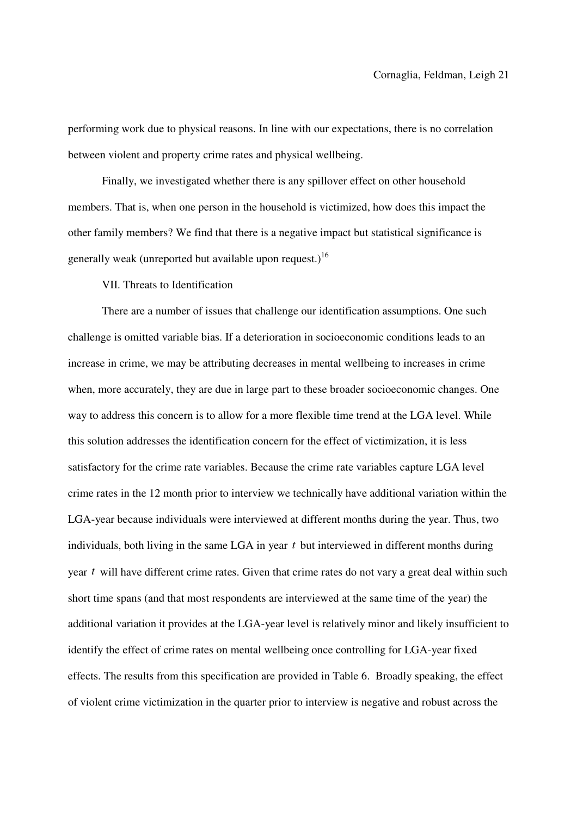performing work due to physical reasons. In line with our expectations, there is no correlation between violent and property crime rates and physical wellbeing.

Finally, we investigated whether there is any spillover effect on other household members. That is, when one person in the household is victimized, how does this impact the other family members? We find that there is a negative impact but statistical significance is generally weak (unreported but available upon request.)<sup>16</sup>

VII. Threats to Identification

There are a number of issues that challenge our identification assumptions. One such challenge is omitted variable bias. If a deterioration in socioeconomic conditions leads to an increase in crime, we may be attributing decreases in mental wellbeing to increases in crime when, more accurately, they are due in large part to these broader socioeconomic changes. One way to address this concern is to allow for a more flexible time trend at the LGA level. While this solution addresses the identification concern for the effect of victimization, it is less satisfactory for the crime rate variables. Because the crime rate variables capture LGA level crime rates in the 12 month prior to interview we technically have additional variation within the LGA-year because individuals were interviewed at different months during the year. Thus, two individuals, both living in the same LGA in year  $t$  but interviewed in different months during year  $t$  will have different crime rates. Given that crime rates do not vary a great deal within such short time spans (and that most respondents are interviewed at the same time of the year) the additional variation it provides at the LGA-year level is relatively minor and likely insufficient to identify the effect of crime rates on mental wellbeing once controlling for LGA-year fixed effects. The results from this specification are provided in Table 6. Broadly speaking, the effect of violent crime victimization in the quarter prior to interview is negative and robust across the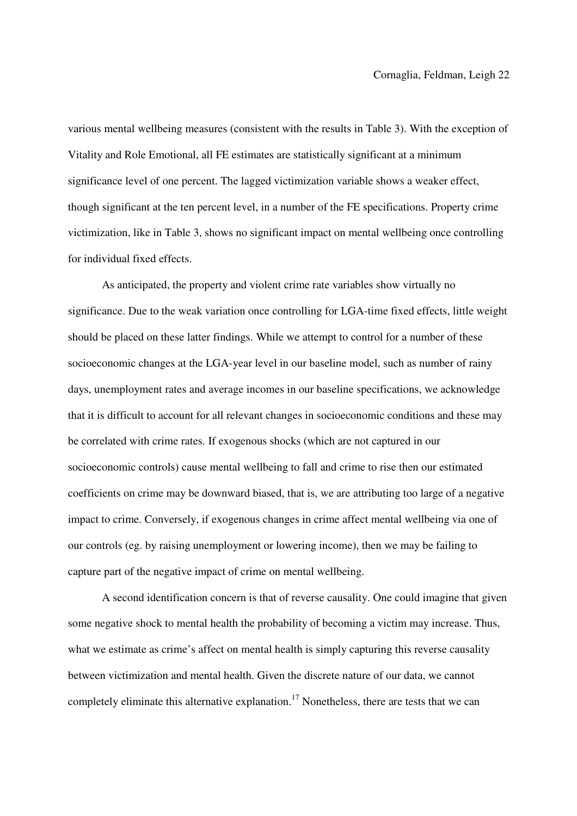various mental wellbeing measures (consistent with the results in Table 3). With the exception of Vitality and Role Emotional, all FE estimates are statistically significant at a minimum significance level of one percent. The lagged victimization variable shows a weaker effect, though significant at the ten percent level, in a number of the FE specifications. Property crime victimization, like in Table 3, shows no significant impact on mental wellbeing once controlling for individual fixed effects.

As anticipated, the property and violent crime rate variables show virtually no significance. Due to the weak variation once controlling for LGA-time fixed effects, little weight should be placed on these latter findings. While we attempt to control for a number of these socioeconomic changes at the LGA-year level in our baseline model, such as number of rainy days, unemployment rates and average incomes in our baseline specifications, we acknowledge that it is difficult to account for all relevant changes in socioeconomic conditions and these may be correlated with crime rates. If exogenous shocks (which are not captured in our socioeconomic controls) cause mental wellbeing to fall and crime to rise then our estimated coefficients on crime may be downward biased, that is, we are attributing too large of a negative impact to crime. Conversely, if exogenous changes in crime affect mental wellbeing via one of our controls (eg. by raising unemployment or lowering income), then we may be failing to capture part of the negative impact of crime on mental wellbeing.

A second identification concern is that of reverse causality. One could imagine that given some negative shock to mental health the probability of becoming a victim may increase. Thus, what we estimate as crime's affect on mental health is simply capturing this reverse causality between victimization and mental health. Given the discrete nature of our data, we cannot completely eliminate this alternative explanation.<sup>17</sup> Nonetheless, there are tests that we can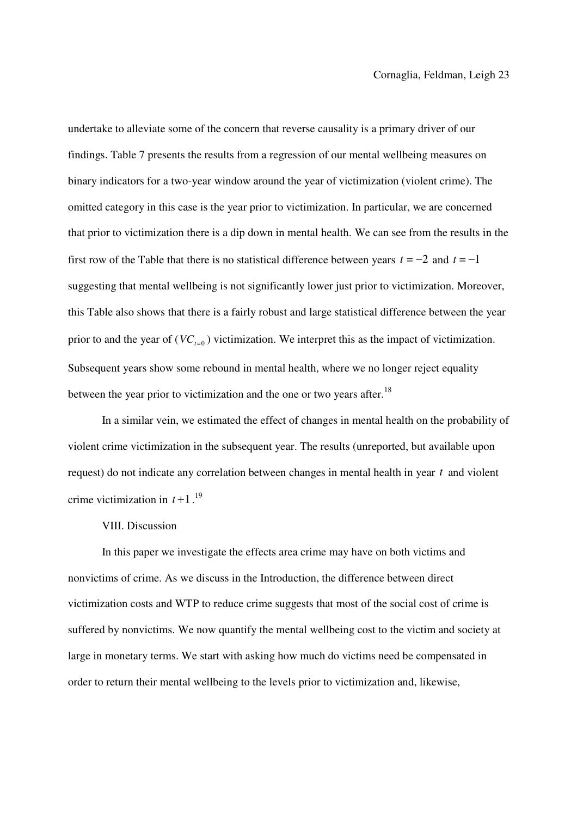undertake to alleviate some of the concern that reverse causality is a primary driver of our findings. Table 7 presents the results from a regression of our mental wellbeing measures on binary indicators for a two-year window around the year of victimization (violent crime). The omitted category in this case is the year prior to victimization. In particular, we are concerned that prior to victimization there is a dip down in mental health. We can see from the results in the first row of the Table that there is no statistical difference between years  $t = -2$  and  $t = -1$ suggesting that mental wellbeing is not significantly lower just prior to victimization. Moreover, this Table also shows that there is a fairly robust and large statistical difference between the year prior to and the year of  $(VC_{t=0})$  victimization. We interpret this as the impact of victimization. Subsequent years show some rebound in mental health, where we no longer reject equality between the year prior to victimization and the one or two years after.<sup>18</sup>

In a similar vein, we estimated the effect of changes in mental health on the probability of violent crime victimization in the subsequent year. The results (unreported, but available upon request) do not indicate any correlation between changes in mental health in year  $t$  and violent crime victimization in  $t+1$ .<sup>19</sup>

#### VIII. Discussion

In this paper we investigate the effects area crime may have on both victims and nonvictims of crime. As we discuss in the Introduction, the difference between direct victimization costs and WTP to reduce crime suggests that most of the social cost of crime is suffered by nonvictims. We now quantify the mental wellbeing cost to the victim and society at large in monetary terms. We start with asking how much do victims need be compensated in order to return their mental wellbeing to the levels prior to victimization and, likewise,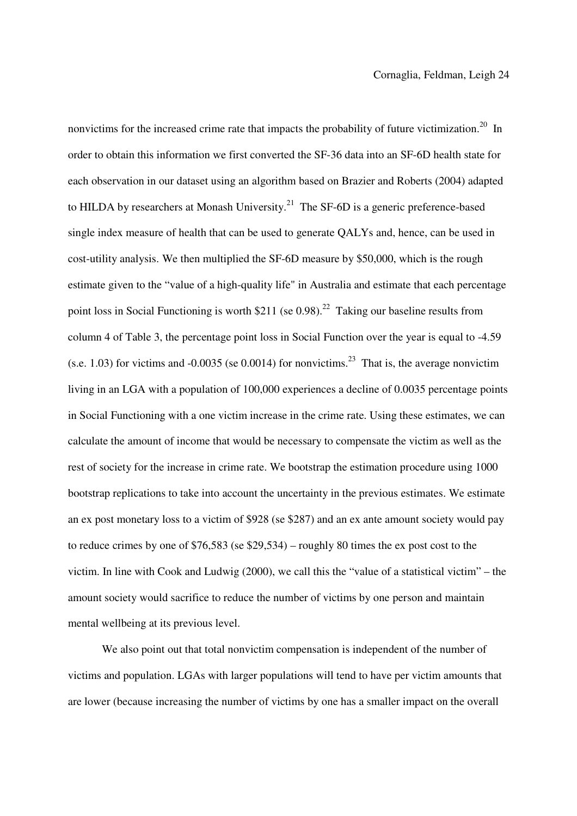nonvictims for the increased crime rate that impacts the probability of future victimization.<sup>20</sup> In order to obtain this information we first converted the SF-36 data into an SF-6D health state for each observation in our dataset using an algorithm based on Brazier and Roberts (2004) adapted to HILDA by researchers at Monash University.<sup>21</sup> The SF-6D is a generic preference-based single index measure of health that can be used to generate QALYs and, hence, can be used in cost-utility analysis. We then multiplied the SF-6D measure by \$50,000, which is the rough estimate given to the "value of a high-quality life" in Australia and estimate that each percentage point loss in Social Functioning is worth  $$211$  (se 0.98).<sup>22</sup> Taking our baseline results from column 4 of Table 3, the percentage point loss in Social Function over the year is equal to -4.59 (s.e. 1.03) for victims and -0.0035 (se 0.0014) for nonvictims.<sup>23</sup> That is, the average nonvictim living in an LGA with a population of 100,000 experiences a decline of 0.0035 percentage points in Social Functioning with a one victim increase in the crime rate. Using these estimates, we can calculate the amount of income that would be necessary to compensate the victim as well as the rest of society for the increase in crime rate. We bootstrap the estimation procedure using 1000 bootstrap replications to take into account the uncertainty in the previous estimates. We estimate an ex post monetary loss to a victim of \$928 (se \$287) and an ex ante amount society would pay to reduce crimes by one of \$76,583 (se \$29,534) – roughly 80 times the ex post cost to the victim. In line with Cook and Ludwig (2000), we call this the "value of a statistical victim" – the amount society would sacrifice to reduce the number of victims by one person and maintain mental wellbeing at its previous level.

We also point out that total nonvictim compensation is independent of the number of victims and population. LGAs with larger populations will tend to have per victim amounts that are lower (because increasing the number of victims by one has a smaller impact on the overall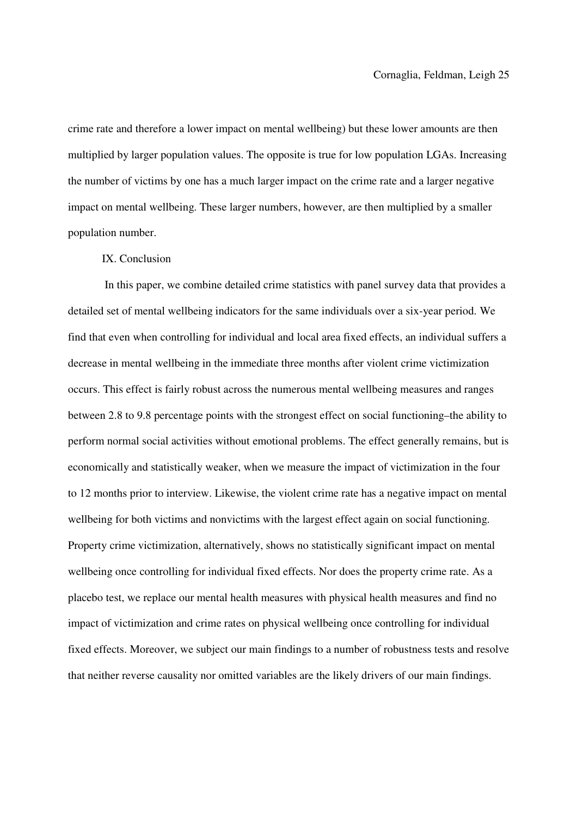crime rate and therefore a lower impact on mental wellbeing) but these lower amounts are then multiplied by larger population values. The opposite is true for low population LGAs. Increasing the number of victims by one has a much larger impact on the crime rate and a larger negative impact on mental wellbeing. These larger numbers, however, are then multiplied by a smaller population number.

#### IX. Conclusion

 In this paper, we combine detailed crime statistics with panel survey data that provides a detailed set of mental wellbeing indicators for the same individuals over a six-year period. We find that even when controlling for individual and local area fixed effects, an individual suffers a decrease in mental wellbeing in the immediate three months after violent crime victimization occurs. This effect is fairly robust across the numerous mental wellbeing measures and ranges between 2.8 to 9.8 percentage points with the strongest effect on social functioning–the ability to perform normal social activities without emotional problems. The effect generally remains, but is economically and statistically weaker, when we measure the impact of victimization in the four to 12 months prior to interview. Likewise, the violent crime rate has a negative impact on mental wellbeing for both victims and nonvictims with the largest effect again on social functioning. Property crime victimization, alternatively, shows no statistically significant impact on mental wellbeing once controlling for individual fixed effects. Nor does the property crime rate. As a placebo test, we replace our mental health measures with physical health measures and find no impact of victimization and crime rates on physical wellbeing once controlling for individual fixed effects. Moreover, we subject our main findings to a number of robustness tests and resolve that neither reverse causality nor omitted variables are the likely drivers of our main findings.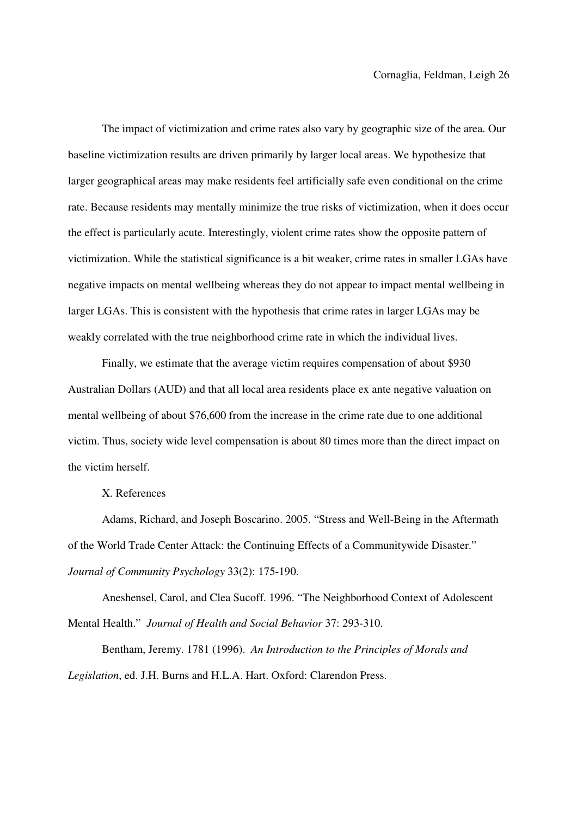The impact of victimization and crime rates also vary by geographic size of the area. Our baseline victimization results are driven primarily by larger local areas. We hypothesize that larger geographical areas may make residents feel artificially safe even conditional on the crime rate. Because residents may mentally minimize the true risks of victimization, when it does occur the effect is particularly acute. Interestingly, violent crime rates show the opposite pattern of victimization. While the statistical significance is a bit weaker, crime rates in smaller LGAs have negative impacts on mental wellbeing whereas they do not appear to impact mental wellbeing in larger LGAs. This is consistent with the hypothesis that crime rates in larger LGAs may be weakly correlated with the true neighborhood crime rate in which the individual lives.

Finally, we estimate that the average victim requires compensation of about \$930 Australian Dollars (AUD) and that all local area residents place ex ante negative valuation on mental wellbeing of about \$76,600 from the increase in the crime rate due to one additional victim. Thus, society wide level compensation is about 80 times more than the direct impact on the victim herself.

X. References

Adams, Richard, and Joseph Boscarino. 2005. "Stress and Well-Being in the Aftermath of the World Trade Center Attack: the Continuing Effects of a Communitywide Disaster." *Journal of Community Psychology* 33(2): 175-190.

Aneshensel, Carol, and Clea Sucoff. 1996. "The Neighborhood Context of Adolescent Mental Health." *Journal of Health and Social Behavior* 37: 293-310.

Bentham, Jeremy. 1781 (1996). *An Introduction to the Principles of Morals and Legislation*, ed. J.H. Burns and H.L.A. Hart. Oxford: Clarendon Press.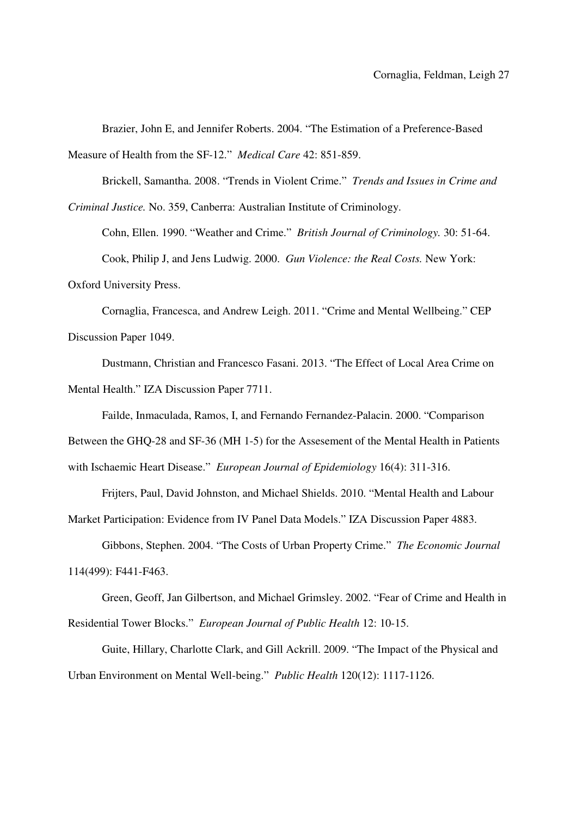Brazier, John E, and Jennifer Roberts. 2004. "The Estimation of a Preference-Based Measure of Health from the SF-12." *Medical Care* 42: 851-859.

Brickell, Samantha. 2008. "Trends in Violent Crime." *Trends and Issues in Crime and Criminal Justice.* No. 359, Canberra: Australian Institute of Criminology.

Cohn, Ellen. 1990. "Weather and Crime." *British Journal of Criminology.* 30: 51-64. Cook, Philip J, and Jens Ludwig. 2000. *Gun Violence: the Real Costs.* New York: Oxford University Press.

Cornaglia, Francesca, and Andrew Leigh. 2011. "Crime and Mental Wellbeing." CEP Discussion Paper 1049.

Dustmann, Christian and Francesco Fasani. 2013. "The Effect of Local Area Crime on Mental Health." IZA Discussion Paper 7711.

Failde, Inmaculada, Ramos, I, and Fernando Fernandez-Palacin. 2000. "Comparison

Between the GHQ-28 and SF-36 (MH 1-5) for the Assesement of the Mental Health in Patients

with Ischaemic Heart Disease." *European Journal of Epidemiology* 16(4): 311-316.

Frijters, Paul, David Johnston, and Michael Shields. 2010. "Mental Health and Labour

Market Participation: Evidence from IV Panel Data Models." IZA Discussion Paper 4883.

Gibbons, Stephen. 2004. "The Costs of Urban Property Crime." *The Economic Journal*

114(499): F441-F463.

Green, Geoff, Jan Gilbertson, and Michael Grimsley. 2002. "Fear of Crime and Health in Residential Tower Blocks." *European Journal of Public Health* 12: 10-15.

Guite, Hillary, Charlotte Clark, and Gill Ackrill. 2009. "The Impact of the Physical and Urban Environment on Mental Well-being." *Public Health* 120(12): 1117-1126.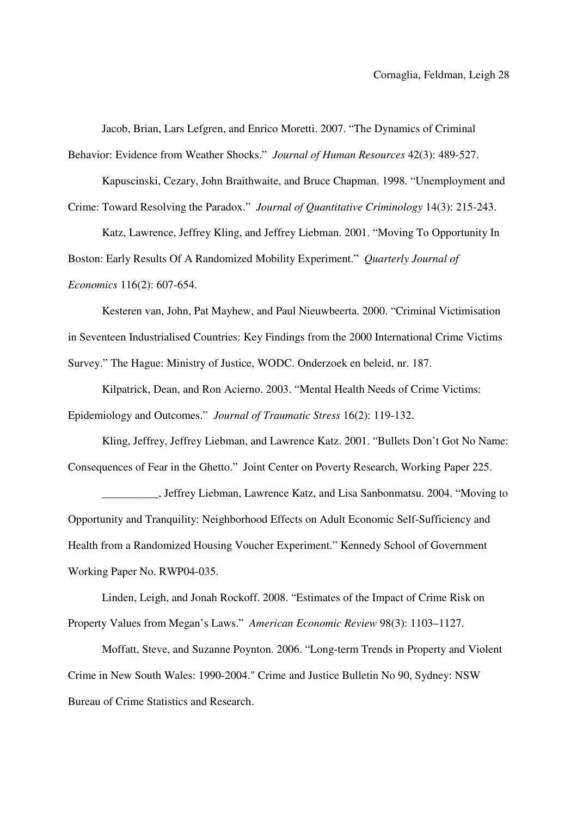Jacob, Brian, Lars Lefgren, and Enrico Moretti. 2007. "The Dynamics of Criminal

Behavior: Evidence from Weather Shocks." *Journal of Human Resources* 42(3): 489-527.

Kapuscinski, Cezary, John Braithwaite, and Bruce Chapman. 1998. "Unemployment and Crime: Toward Resolving the Paradox." *Journal of Quantitative Criminology* 14(3): 215-243.

Katz, Lawrence, Jeffrey Kling, and Jeffrey Liebman. 2001. "Moving To Opportunity In Boston: Early Results Of A Randomized Mobility Experiment." *Quarterly Journal of Economics* 116(2): 607-654.

Kesteren van, John, Pat Mayhew, and Paul Nieuwbeerta. 2000. "Criminal Victimisation in Seventeen Industrialised Countries: Key Findings from the 2000 International Crime Victims Survey." The Hague: Ministry of Justice, WODC. Onderzoek en beleid, nr. 187.

Kilpatrick, Dean, and Ron Acierno. 2003. "Mental Health Needs of Crime Victims: Epidemiology and Outcomes." *Journal of Traumatic Stress* 16(2): 119-132.

Kling, Jeffrey, Jeffrey Liebman, and Lawrence Katz. 2001. "Bullets Don't Got No Name: Consequences of Fear in the Ghetto." Joint Center on Poverty Research, Working Paper 225.

\_\_\_\_\_\_\_\_\_\_, Jeffrey Liebman, Lawrence Katz, and Lisa Sanbonmatsu. 2004. "Moving to Opportunity and Tranquility: Neighborhood Effects on Adult Economic Self-Sufficiency and Health from a Randomized Housing Voucher Experiment." Kennedy School of Government Working Paper No. RWP04-035.

Linden, Leigh, and Jonah Rockoff. 2008. "Estimates of the Impact of Crime Risk on Property Values from Megan's Laws." *American Economic Review* 98(3): 1103–1127.

Moffatt, Steve, and Suzanne Poynton. 2006. "Long-term Trends in Property and Violent Crime in New South Wales: 1990-2004." Crime and Justice Bulletin No 90, Sydney: NSW Bureau of Crime Statistics and Research.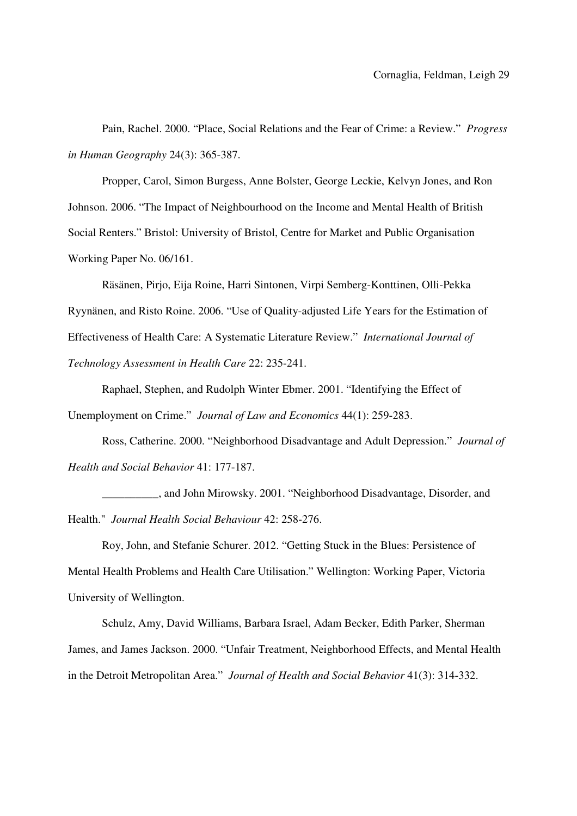Pain, Rachel. 2000. "Place, Social Relations and the Fear of Crime: a Review." *Progress in Human Geography* 24(3): 365-387.

Propper, Carol, Simon Burgess, Anne Bolster, George Leckie, Kelvyn Jones, and Ron Johnson. 2006. "The Impact of Neighbourhood on the Income and Mental Health of British Social Renters." Bristol: University of Bristol, Centre for Market and Public Organisation Working Paper No. 06/161.

Räsänen, Pirjo, Eija Roine, Harri Sintonen, Virpi Semberg-Konttinen, Olli-Pekka Ryynänen, and Risto Roine. 2006. "Use of Quality-adjusted Life Years for the Estimation of Effectiveness of Health Care: A Systematic Literature Review." *International Journal of Technology Assessment in Health Care* 22: 235-241.

Raphael, Stephen, and Rudolph Winter Ebmer. 2001. "Identifying the Effect of Unemployment on Crime." *Journal of Law and Economics* 44(1): 259-283.

Ross, Catherine. 2000. "Neighborhood Disadvantage and Adult Depression." *Journal of Health and Social Behavior* 41: 177-187.

\_\_\_\_\_\_\_\_\_\_, and John Mirowsky. 2001. "Neighborhood Disadvantage, Disorder, and Health." *Journal Health Social Behaviour* 42: 258-276.

Roy, John, and Stefanie Schurer. 2012. "Getting Stuck in the Blues: Persistence of Mental Health Problems and Health Care Utilisation." Wellington: Working Paper, Victoria University of Wellington.

Schulz, Amy, David Williams, Barbara Israel, Adam Becker, Edith Parker, Sherman James, and James Jackson. 2000. "Unfair Treatment, Neighborhood Effects, and Mental Health in the Detroit Metropolitan Area." *Journal of Health and Social Behavior* 41(3): 314-332.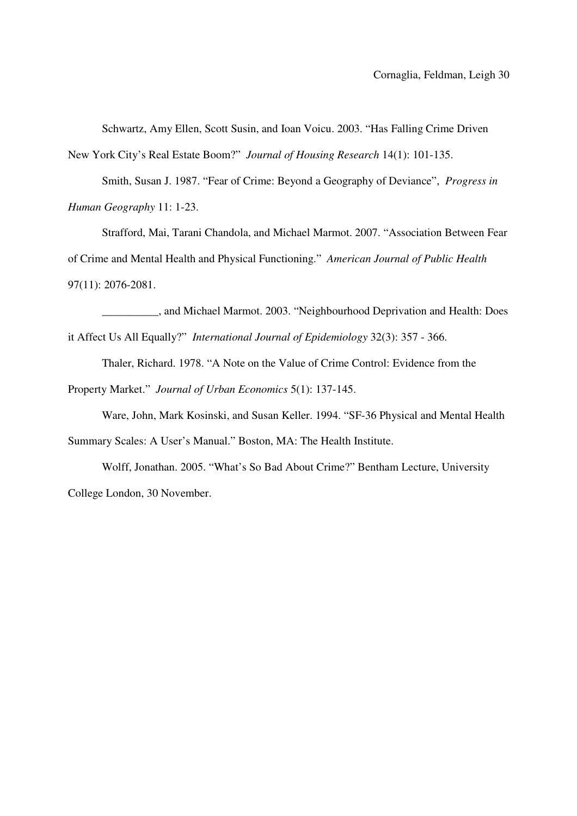Schwartz, Amy Ellen, Scott Susin, and Ioan Voicu. 2003. "Has Falling Crime Driven New York City's Real Estate Boom?" *Journal of Housing Research* 14(1): 101-135.

Smith, Susan J. 1987. "Fear of Crime: Beyond a Geography of Deviance", *Progress in Human Geography* 11: 1-23.

Strafford, Mai, Tarani Chandola, and Michael Marmot. 2007. "Association Between Fear of Crime and Mental Health and Physical Functioning." *American Journal of Public Health* 97(11): 2076-2081.

\_\_\_\_\_\_\_\_\_\_, and Michael Marmot. 2003. "Neighbourhood Deprivation and Health: Does it Affect Us All Equally?" *International Journal of Epidemiology* 32(3): 357 - 366.

Thaler, Richard. 1978. "A Note on the Value of Crime Control: Evidence from the Property Market." *Journal of Urban Economics* 5(1): 137-145.

Ware, John, Mark Kosinski, and Susan Keller. 1994. "SF-36 Physical and Mental Health Summary Scales: A User's Manual." Boston, MA: The Health Institute.

Wolff, Jonathan. 2005. "What's So Bad About Crime?" Bentham Lecture, University College London, 30 November.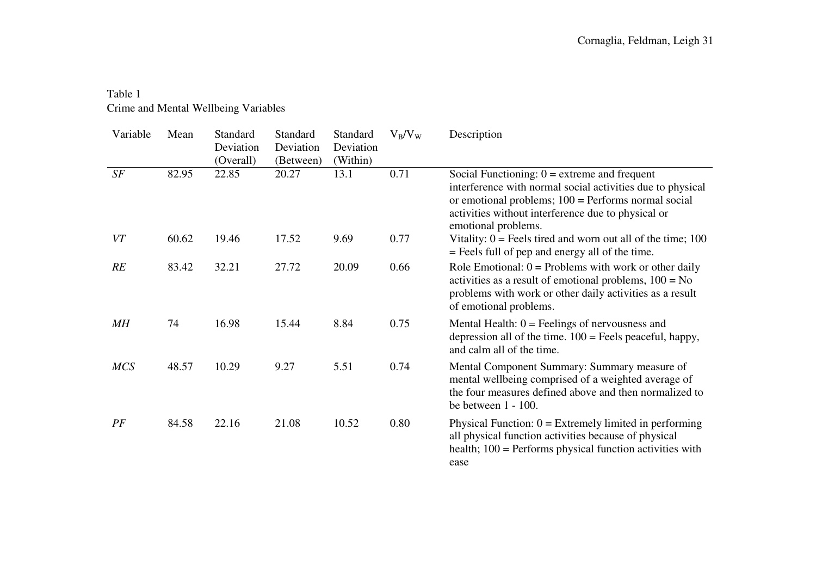### Table 1 Crime and Mental Wellbeing Variables

| Variable   | Mean  | Standard<br>Deviation<br>(Overall) | Standard<br>Deviation<br>(Between) | Standard<br>Deviation<br>(Within) | $V_B/V_W$ | Description                                                                                                                                                                                                                                        |
|------------|-------|------------------------------------|------------------------------------|-----------------------------------|-----------|----------------------------------------------------------------------------------------------------------------------------------------------------------------------------------------------------------------------------------------------------|
| SF         | 82.95 | 22.85                              | 20.27                              | 13.1                              | 0.71      | Social Functioning: $0 =$ extreme and frequent<br>interference with normal social activities due to physical<br>or emotional problems; $100 =$ Performs normal social<br>activities without interference due to physical or<br>emotional problems. |
| VT         | 60.62 | 19.46                              | 17.52                              | 9.69                              | 0.77      | Vitality: $0 =$ Feels tired and worn out all of the time; 100<br>= Feels full of pep and energy all of the time.                                                                                                                                   |
| RE         | 83.42 | 32.21                              | 27.72                              | 20.09                             | 0.66      | Role Emotional: $0 =$ Problems with work or other daily<br>activities as a result of emotional problems, $100 = No$<br>problems with work or other daily activities as a result<br>of emotional problems.                                          |
| MH         | 74    | 16.98                              | 15.44                              | 8.84                              | 0.75      | Mental Health: $0 =$ Feelings of nervousness and<br>depression all of the time. $100$ = Feels peaceful, happy,<br>and calm all of the time.                                                                                                        |
| <b>MCS</b> | 48.57 | 10.29                              | 9.27                               | 5.51                              | 0.74      | Mental Component Summary: Summary measure of<br>mental wellbeing comprised of a weighted average of<br>the four measures defined above and then normalized to<br>be between $1 - 100$ .                                                            |
| PF         | 84.58 | 22.16                              | 21.08                              | 10.52                             | 0.80      | Physical Function: $0 =$ Extremely limited in performing<br>all physical function activities because of physical<br>health; $100$ = Performs physical function activities with<br>ease                                                             |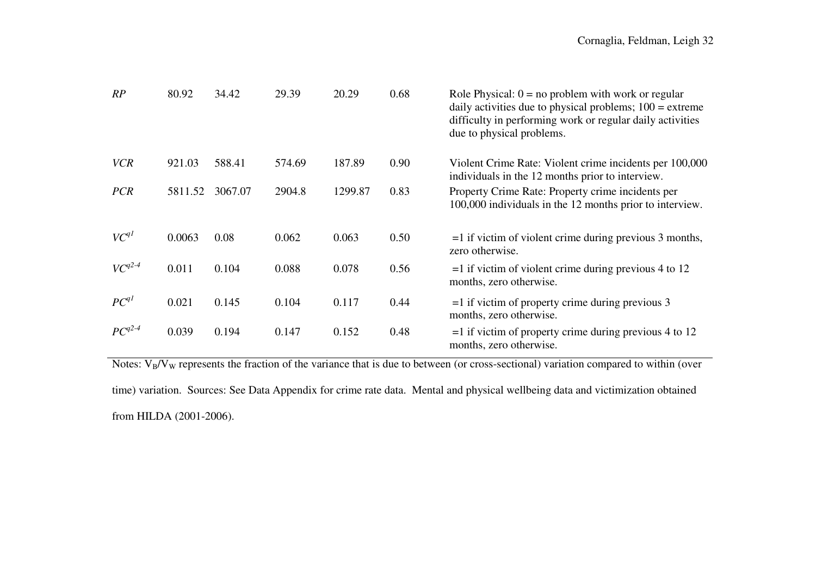| RP          | 80.92   | 34.42   | 29.39  | 20.29   | 0.68 | Role Physical: $0 = no$ problem with work or regular<br>daily activities due to physical problems; $100 =$ extreme<br>difficulty in performing work or regular daily activities<br>due to physical problems. |
|-------------|---------|---------|--------|---------|------|--------------------------------------------------------------------------------------------------------------------------------------------------------------------------------------------------------------|
| <b>VCR</b>  | 921.03  | 588.41  | 574.69 | 187.89  | 0.90 | Violent Crime Rate: Violent crime incidents per 100,000<br>individuals in the 12 months prior to interview.                                                                                                  |
| <b>PCR</b>  | 5811.52 | 3067.07 | 2904.8 | 1299.87 | 0.83 | Property Crime Rate: Property crime incidents per<br>100,000 individuals in the 12 months prior to interview.                                                                                                |
| $VC^{qI}$   | 0.0063  | 0.08    | 0.062  | 0.063   | 0.50 | $=$ 1 if victim of violent crime during previous 3 months,<br>zero otherwise.                                                                                                                                |
| $VC^{q2-4}$ | 0.011   | 0.104   | 0.088  | 0.078   | 0.56 | $=$ 1 if victim of violent crime during previous 4 to 12<br>months, zero otherwise.                                                                                                                          |
| $PC^{qI}$   | 0.021   | 0.145   | 0.104  | 0.117   | 0.44 | $=$ 1 if victim of property crime during previous 3<br>months, zero otherwise.                                                                                                                               |
| $PC^{q2-4}$ | 0.039   | 0.194   | 0.147  | 0.152   | 0.48 | $=$ 1 if victim of property crime during previous 4 to 12<br>months, zero otherwise.                                                                                                                         |

Notes:  $V_B/V_W$  represents the fraction of the variance that is due to between (or cross-sectional) variation compared to within (over

time) variation. Sources: See Data Appendix for crime rate data. Mental and physical wellbeing data and victimization obtained from HILDA (2001-2006).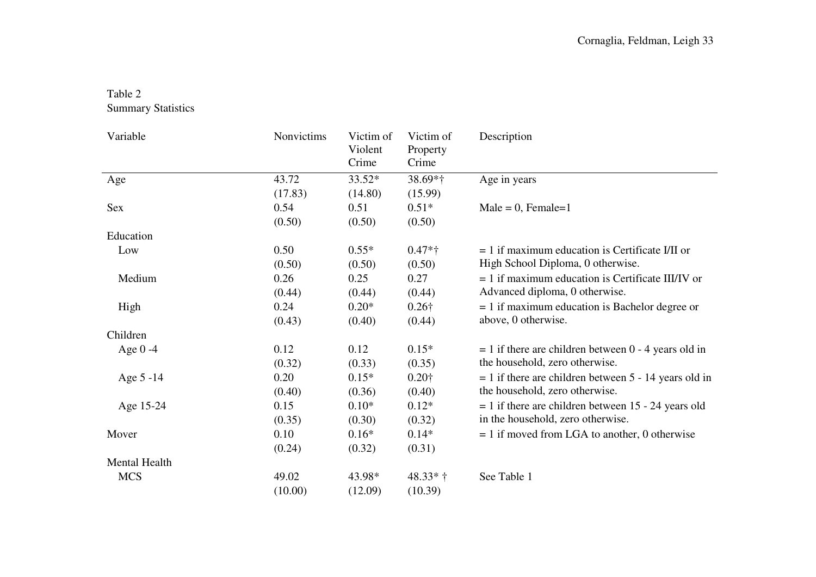# Table 2

Summary Statistics

| Variable      | Nonvictims | Victim of<br>Violent<br>Crime | Victim of<br>Property<br>Crime | Description                                             |
|---------------|------------|-------------------------------|--------------------------------|---------------------------------------------------------|
| Age           | 43.72      | 33.52*                        | 38.69*†                        | Age in years                                            |
|               | (17.83)    | (14.80)                       | (15.99)                        |                                                         |
| Sex           | 0.54       | 0.51                          | $0.51*$                        | $Male = 0$ , Female=1                                   |
|               | (0.50)     | (0.50)                        | (0.50)                         |                                                         |
| Education     |            |                               |                                |                                                         |
| Low           | 0.50       | $0.55*$                       | $0.47*$ †                      | $= 1$ if maximum education is Certificate I/II or       |
|               | (0.50)     | (0.50)                        | (0.50)                         | High School Diploma, 0 otherwise.                       |
| Medium        | 0.26       | 0.25                          | 0.27                           | $= 1$ if maximum education is Certificate III/IV or     |
|               | (0.44)     | (0.44)                        | (0.44)                         | Advanced diploma, 0 otherwise.                          |
| High          | 0.24       | $0.20*$                       | $0.26\dagger$                  | $= 1$ if maximum education is Bachelor degree or        |
|               | (0.43)     | (0.40)                        | (0.44)                         | above, 0 otherwise.                                     |
| Children      |            |                               |                                |                                                         |
| Age $0 -4$    | 0.12       | 0.12                          | $0.15*$                        | $= 1$ if there are children between 0 - 4 years old in  |
|               | (0.32)     | (0.33)                        | (0.35)                         | the household, zero otherwise.                          |
| Age 5 -14     | 0.20       | $0.15*$                       | $0.20\dagger$                  | $= 1$ if there are children between 5 - 14 years old in |
|               | (0.40)     | (0.36)                        | (0.40)                         | the household, zero otherwise.                          |
| Age 15-24     | 0.15       | $0.10*$                       | $0.12*$                        | $= 1$ if there are children between 15 - 24 years old   |
|               | (0.35)     | (0.30)                        | (0.32)                         | in the household, zero otherwise.                       |
| Mover         | 0.10       | $0.16*$                       | $0.14*$                        | $= 1$ if moved from LGA to another, 0 otherwise         |
|               | (0.24)     | (0.32)                        | (0.31)                         |                                                         |
| Mental Health |            |                               |                                |                                                         |
| <b>MCS</b>    | 49.02      | 43.98*                        | $48.33*+$                      | See Table 1                                             |
|               | (10.00)    | (12.09)                       | (10.39)                        |                                                         |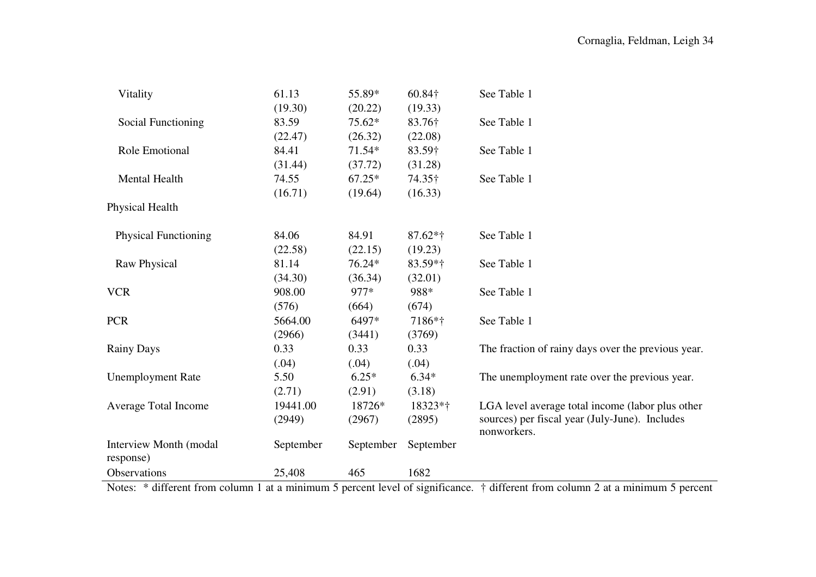| Vitality                            | 61.13     | 55.89*    | 60.84†     | See Table 1                                                   |
|-------------------------------------|-----------|-----------|------------|---------------------------------------------------------------|
|                                     | (19.30)   | (20.22)   | (19.33)    |                                                               |
| Social Functioning                  | 83.59     | $75.62*$  | 83.76†     | See Table 1                                                   |
|                                     | (22.47)   | (26.32)   | (22.08)    |                                                               |
| Role Emotional                      | 84.41     | $71.54*$  | 83.59†     | See Table 1                                                   |
|                                     | (31.44)   | (37.72)   | (31.28)    |                                                               |
| Mental Health                       | 74.55     | $67.25*$  | 74.35†     | See Table 1                                                   |
|                                     | (16.71)   | (19.64)   | (16.33)    |                                                               |
| Physical Health                     |           |           |            |                                                               |
| <b>Physical Functioning</b>         | 84.06     | 84.91     | $87.62*$ † | See Table 1                                                   |
|                                     | (22.58)   | (22.15)   | (19.23)    |                                                               |
| Raw Physical                        | 81.14     | 76.24*    | $83.59*$ † | See Table 1                                                   |
|                                     | (34.30)   | (36.34)   | (32.01)    |                                                               |
| <b>VCR</b>                          | 908.00    | 977*      | 988*       | See Table 1                                                   |
|                                     | (576)     | (664)     | (674)      |                                                               |
| <b>PCR</b>                          | 5664.00   | 6497*     | 7186*†     | See Table 1                                                   |
|                                     | (2966)    | (3441)    | (3769)     |                                                               |
| <b>Rainy Days</b>                   | 0.33      | 0.33      | 0.33       | The fraction of rainy days over the previous year.            |
|                                     | (.04)     | (.04)     | (.04)      |                                                               |
| <b>Unemployment Rate</b>            | 5.50      | $6.25*$   | $6.34*$    | The unemployment rate over the previous year.                 |
|                                     | (2.71)    | (2.91)    | (3.18)     |                                                               |
| Average Total Income                | 19441.00  | 18726*    | 18323*†    | LGA level average total income (labor plus other              |
|                                     | (2949)    | (2967)    | (2895)     | sources) per fiscal year (July-June). Includes<br>nonworkers. |
| Interview Month (modal<br>response) | September | September | September  |                                                               |
| Observations                        | 25,408    | 465       | 1682       |                                                               |

Notes: \* different from column 1 at a minimum 5 percent level of significance. † different from column 2 at a minimum 5 percent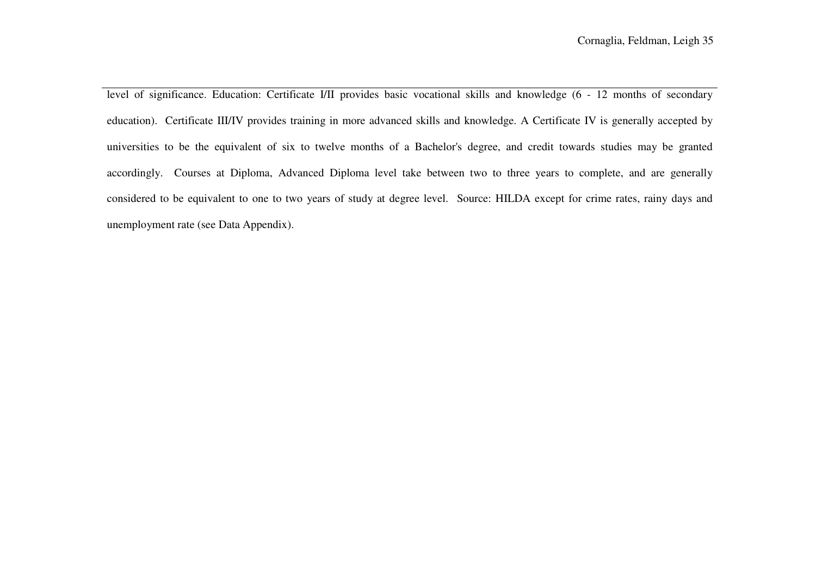level of significance. Education: Certificate I/II provides basic vocational skills and knowledge (6 - 12 months of secondary education). Certificate III/IV provides training in more advanced skills and knowledge. A Certificate IV is generally accepted by universities to be the equivalent of six to twelve months of a Bachelor's degree, and credit towards studies may be granted accordingly. Courses at Diploma, Advanced Diploma level take between two to three years to complete, and are generally considered to be equivalent to one to two years of study at degree level. Source: HILDA except for crime rates, rainy days and unemployment rate (see Data Appendix).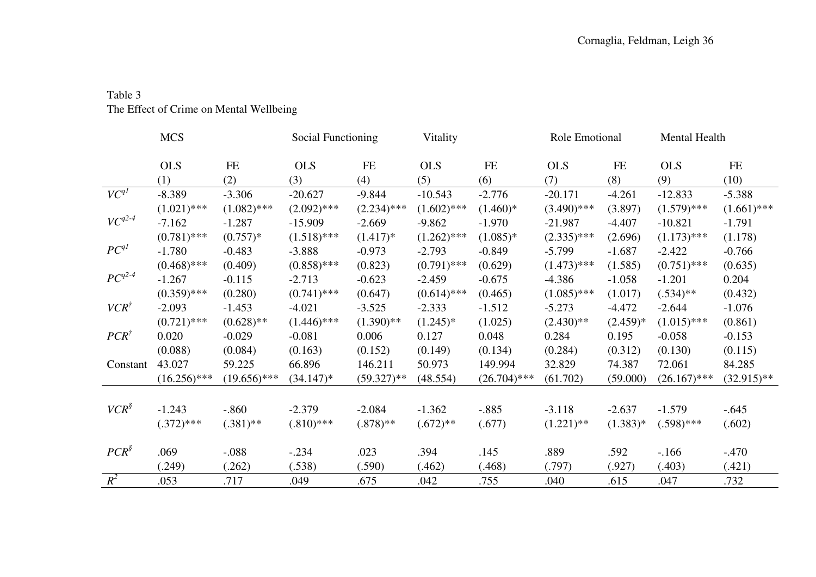## Table 3 The Effect of Crime on Mental Wellbeing

|                 | <b>MCS</b>     |                | Social Functioning |               | Vitality      |                | Role Emotional |            | Mental Health  |               |
|-----------------|----------------|----------------|--------------------|---------------|---------------|----------------|----------------|------------|----------------|---------------|
|                 | <b>OLS</b>     | FE             | <b>OLS</b>         | FE            | <b>OLS</b>    | FE             | <b>OLS</b>     | FE         | <b>OLS</b>     | FE            |
|                 | (1)            | (2)            | (3)                | (4)           | (5)           | (6)            | (7)            | (8)        | (9)            | (10)          |
| $VC^{qI}$       | $-8.389$       | $-3.306$       | $-20.627$          | $-9.844$      | $-10.543$     | $-2.776$       | $-20.171$      | $-4.261$   | $-12.833$      | $-5.388$      |
|                 | $(1.021)$ ***  | $(1.082)$ ***  | $(2.092)$ ***      | $(2.234)$ *** | $(1.602)$ *** | $(1.460)*$     | $(3.490)$ ***  | (3.897)    | $(1.579)$ ***  | $(1.661)$ *** |
| $VC^{q2-4}$     | $-7.162$       | $-1.287$       | $-15.909$          | $-2.669$      | $-9.862$      | $-1.970$       | $-21.987$      | $-4.407$   | $-10.821$      | $-1.791$      |
|                 | $(0.781)$ ***  | $(0.757)*$     | $(1.518)$ ***      | $(1.417)*$    | $(1.262)$ *** | $(1.085)*$     | $(2.335)$ ***  | (2.696)    | $(1.173)$ ***  | (1.178)       |
| $PC^{q}$        | $-1.780$       | $-0.483$       | $-3.888$           | $-0.973$      | $-2.793$      | $-0.849$       | $-5.799$       | $-1.687$   | $-2.422$       | $-0.766$      |
|                 | $(0.468)$ ***  | (0.409)        | $(0.858)$ ***      | (0.823)       | $(0.791)$ *** | (0.629)        | $(1.473)$ ***  | (1.585)    | $(0.751)$ ***  | (0.635)       |
| $PC^{q2-4}$     | $-1.267$       | $-0.115$       | $-2.713$           | $-0.623$      | $-2.459$      | $-0.675$       | $-4.386$       | $-1.058$   | $-1.201$       | 0.204         |
|                 | $(0.359)$ ***  | (0.280)        | $(0.741)$ ***      | (0.647)       | $(0.614)$ *** | (0.465)        | $(1.085)$ ***  | (1.017)    | $(.534)$ **    | (0.432)       |
| $VCR^{\dagger}$ | $-2.093$       | $-1.453$       | $-4.021$           | $-3.525$      | $-2.333$      | $-1.512$       | $-5.273$       | $-4.472$   | $-2.644$       | $-1.076$      |
|                 | $(0.721)$ ***  | $(0.628)$ **   | $(1.446)$ ***      | $(1.390)$ **  | $(1.245)^*$   | (1.025)        | $(2.430)$ **   | $(2.459)*$ | $(1.015)$ ***  | (0.861)       |
| $PCR^{\dagger}$ | 0.020          | $-0.029$       | $-0.081$           | 0.006         | 0.127         | 0.048          | 0.284          | 0.195      | $-0.058$       | $-0.153$      |
|                 | (0.088)        | (0.084)        | (0.163)            | (0.152)       | (0.149)       | (0.134)        | (0.284)        | (0.312)    | (0.130)        | (0.115)       |
| Constant        | 43.027         | 59.225         | 66.896             | 146.211       | 50.973        | 149.994        | 32.829         | 74.387     | 72.061         | 84.285        |
|                 | $(16.256)$ *** | $(19.656)$ *** | $(34.147)^*$       | $(59.327)$ ** | (48.554)      | $(26.704)$ *** | (61.702)       | (59.000)   | $(26.167)$ *** | $(32.915)$ ** |
|                 |                |                |                    |               |               |                |                |            |                |               |
| $VCR^{\S}$      | $-1.243$       | $-.860$        | $-2.379$           | $-2.084$      | $-1.362$      | $-.885$        | $-3.118$       | $-2.637$   | $-1.579$       | $-.645$       |
|                 | $(.372)$ ***   | $(.381)$ **    | $(.810)$ ***       | $(.878)$ **   | $(.672)$ **   | (.677)         | $(1.221)$ **   | $(1.383)*$ | $(.598)$ ***   | (.602)        |
|                 |                |                |                    |               |               |                |                |            |                |               |
| $PCR^{\$}$      | .069           | $-.088$        | $-.234$            | .023          | .394          | .145           | .889           | .592       | $-.166$        | $-.470$       |
|                 | (.249)         | (.262)         | (.538)             | (.590)        | (.462)        | (.468)         | (.797)         | (.927)     | (.403)         | (.421)        |
| $R^2$           | .053           | .717           | .049               | .675          | .042          | .755           | .040           | .615       | .047           | .732          |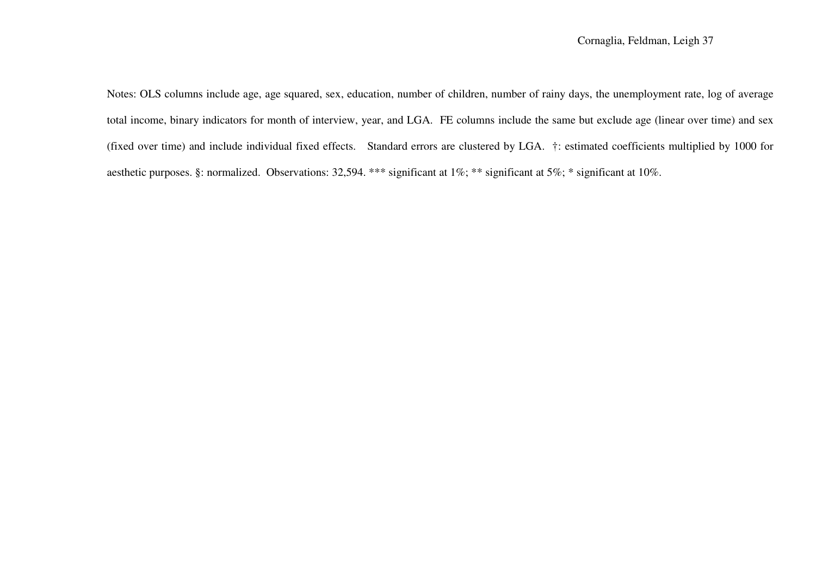Notes: OLS columns include age, age squared, sex, education, number of children, number of rainy days, the unemployment rate, log of average total income, binary indicators for month of interview, year, and LGA. FE columns include the same but exclude age (linear over time) and sex (fixed over time) and include individual fixed effects. Standard errors are clustered by LGA. †: estimated coefficients multiplied by 1000 for aesthetic purposes. §: normalized. Observations: 32,594. \*\*\* significant at 1%; \*\* significant at 5%; \* significant at 10%.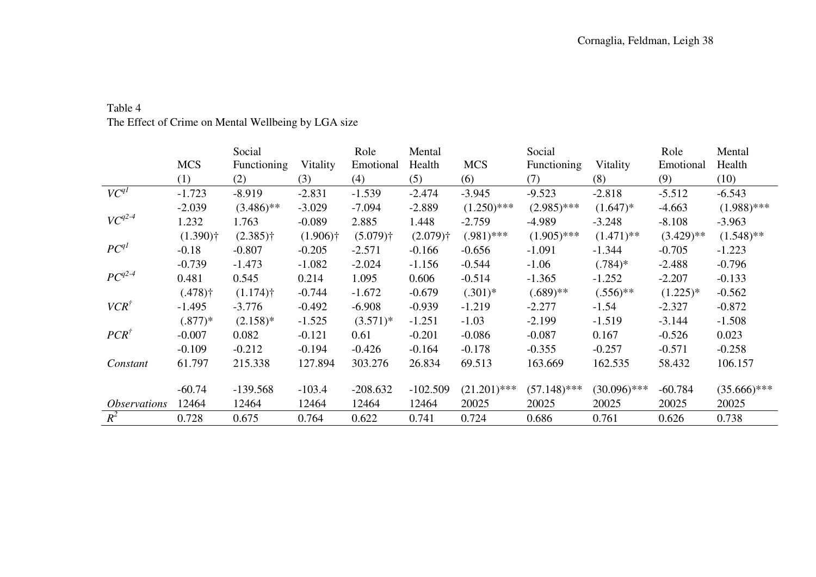|                            | <b>MCS</b><br>(1)     | Social<br><b>Functioning</b><br>(2) | Vitality<br>(3)        | Role<br>Emotional<br>(4) | Mental<br>Health<br>(5) | <b>MCS</b><br>(6) | Social<br><b>Functioning</b><br>(7) | Vitality<br>(8)         | Role<br>Emotional<br>(9) | Mental<br>Health<br>(10) |
|----------------------------|-----------------------|-------------------------------------|------------------------|--------------------------|-------------------------|-------------------|-------------------------------------|-------------------------|--------------------------|--------------------------|
| $VC^{qI}$                  | $-1.723$              | $-8.919$                            | $-2.831$               | $-1.539$                 | $-2.474$                | $-3.945$          | $-9.523$                            | $-2.818$                | $-5.512$                 | $-6.543$                 |
|                            | $-2.039$              | $(3.486)$ **                        | $-3.029$               | $-7.094$                 | $-2.889$                | $(1.250)$ ***     | $(2.985)$ ***                       | $(1.647)^*$             | $-4.663$                 | $(1.988)$ ***            |
| $VC^{q2-4}$                | 1.232                 | 1.763                               | $-0.089$               | 2.885                    | 1.448                   | $-2.759$          | $-4.989$                            | $-3.248$                | $-8.108$                 | $-3.963$                 |
|                            | $(1.390)$ †           | $(2.385)$ †                         | $(1.906)$ <sup>†</sup> | $(5.079)$ †              | $(2.079)$ <sup>†</sup>  | $(.981)$ ***      | $(1.905)$ ***                       | $(1.471)$ <sup>**</sup> | $(3.429)$ **             | $(1.548)$ **             |
| $PC^{qI}$                  | $-0.18$               | $-0.807$                            | $-0.205$               | $-2.571$                 | $-0.166$                | $-0.656$          | $-1.091$                            | $-1.344$                | $-0.705$                 | $-1.223$                 |
|                            | $-0.739$              | $-1.473$                            | $-1.082$               | $-2.024$                 | $-1.156$                | $-0.544$          | $-1.06$                             | $(.784)*$               | $-2.488$                 | $-0.796$                 |
| $PC^{q2-4}$                | 0.481                 | 0.545                               | 0.214                  | 1.095                    | 0.606                   | $-0.514$          | $-1.365$                            | $-1.252$                | $-2.207$                 | $-0.133$                 |
|                            | $(.478)$ <sup>†</sup> | $(1.174)$ <sup>†</sup>              | $-0.744$               | $-1.672$                 | $-0.679$                | $(.301)^*$        | $(.689)$ **                         | $(.556)$ **             | $(1.225)^*$              | $-0.562$                 |
| $VCR^{\dagger}$            | $-1.495$              | $-3.776$                            | $-0.492$               | $-6.908$                 | $-0.939$                | $-1.219$          | $-2.277$                            | $-1.54$                 | $-2.327$                 | $-0.872$                 |
|                            | $(.877)*$             | $(2.158)$ *                         | $-1.525$               | $(3.571)^*$              | $-1.251$                | $-1.03$           | $-2.199$                            | $-1.519$                | $-3.144$                 | $-1.508$                 |
| $PCR^{\dagger}$            | $-0.007$              | 0.082                               | $-0.121$               | 0.61                     | $-0.201$                | $-0.086$          | $-0.087$                            | 0.167                   | $-0.526$                 | 0.023                    |
|                            | $-0.109$              | $-0.212$                            | $-0.194$               | $-0.426$                 | $-0.164$                | $-0.178$          | $-0.355$                            | $-0.257$                | $-0.571$                 | $-0.258$                 |
| Constant                   | 61.797                | 215.338                             | 127.894                | 303.276                  | 26.834                  | 69.513            | 163.669                             | 162.535                 | 58.432                   | 106.157                  |
|                            | $-60.74$              | $-139.568$                          | $-103.4$               | $-208.632$               | $-102.509$              | $(21.201)$ ***    | $(57.148)$ ***                      | $(30.096)$ ***          | $-60.784$                | $(35.666)$ ***           |
| <i><b>Observations</b></i> | 12464                 | 12464                               | 12464                  | 12464                    | 12464                   | 20025             | 20025                               | 20025                   | 20025                    | 20025                    |
| $R^2$                      | 0.728                 | 0.675                               | 0.764                  | 0.622                    | 0.741                   | 0.724             | 0.686                               | 0.761                   | 0.626                    | 0.738                    |

### Table 4 The Effect of Crime on Mental Wellbeing by LGA size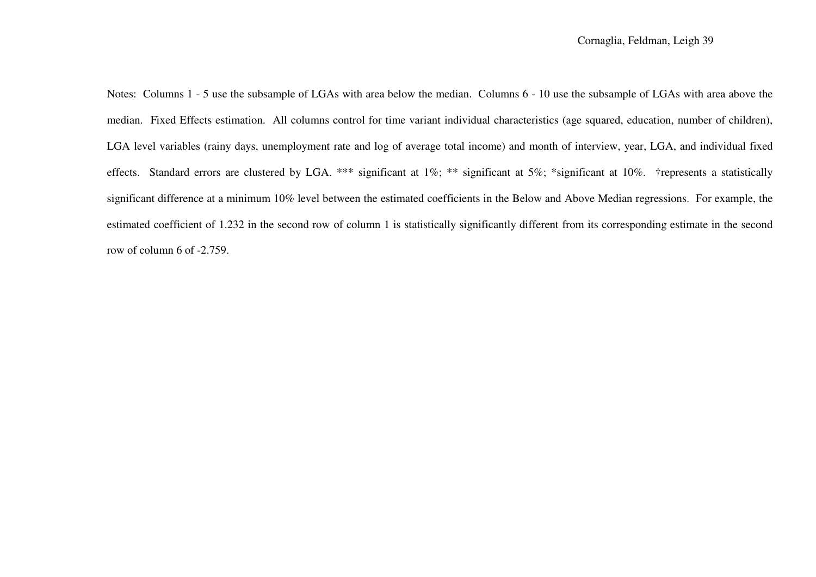Notes: Columns 1 - 5 use the subsample of LGAs with area below the median. Columns 6 - 10 use the subsample of LGAs with area above the median. Fixed Effects estimation. All columns control for time variant individual characteristics (age squared, education, number of children), LGA level variables (rainy days, unemployment rate and log of average total income) and month of interview, year, LGA, and individual fixed effects. Standard errors are clustered by LGA. \*\*\* significant at 1%; \*\* significant at 5%; \*significant at 10%. †represents a statistically significant difference at a minimum 10% level between the estimated coefficients in the Below and Above Median regressions. For example, the estimated coefficient of 1.232 in the second row of column 1 is statistically significantly different from its corresponding estimate in the second row of column 6 of -2.759.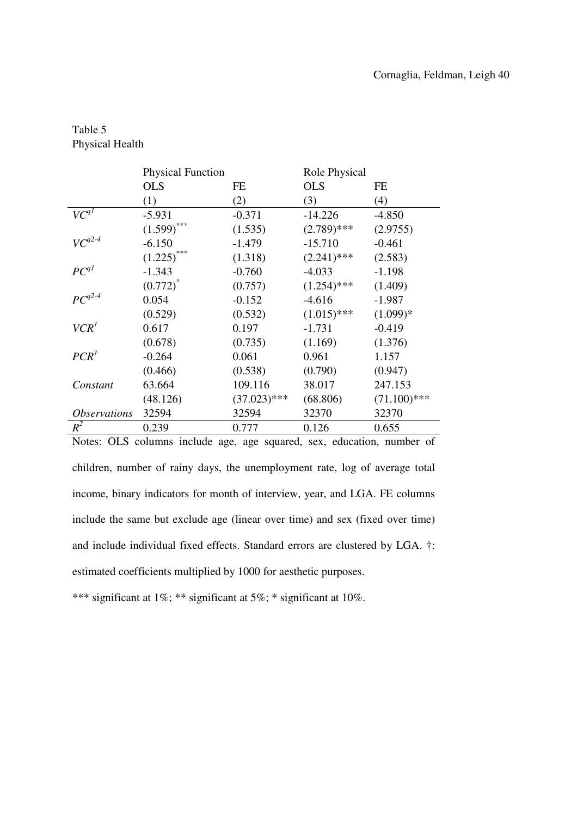| Table 5                |
|------------------------|
| <b>Physical Health</b> |

|                            | <b>Physical Function</b>                                               |                | Role Physical |                |  |  |
|----------------------------|------------------------------------------------------------------------|----------------|---------------|----------------|--|--|
|                            | <b>OLS</b>                                                             | FE             | <b>OLS</b>    | FE             |  |  |
|                            | (1)                                                                    | (2)            | (3)           | (4)            |  |  |
| $VC^{qI}$                  | $-5.931$                                                               | $-0.371$       | $-14.226$     | $-4.850$       |  |  |
|                            | $(1.599)$ ***                                                          | (1.535)        | $(2.789)$ *** | (2.9755)       |  |  |
| $VC^{q2-4}$                | $-6.150$                                                               | $-1.479$       | $-15.710$     | $-0.461$       |  |  |
|                            | (1.225)                                                                | (1.318)        | $(2.241)$ *** | (2.583)        |  |  |
| $PC^{q}$                   | $-1.343$                                                               | $-0.760$       | $-4.033$      | $-1.198$       |  |  |
|                            | $(0.772)^*$                                                            | (0.757)        | $(1.254)$ *** | (1.409)        |  |  |
| $PC^{q2-4}$                | 0.054                                                                  | $-0.152$       | $-4.616$      | $-1.987$       |  |  |
|                            | (0.529)                                                                | (0.532)        | $(1.015)$ *** | $(1.099)*$     |  |  |
| $VCR^{\dagger}$            | 0.617                                                                  | 0.197          | $-1.731$      | $-0.419$       |  |  |
|                            | (0.678)                                                                | (0.735)        | (1.169)       | (1.376)        |  |  |
| $PCR^{\dagger}$            | $-0.264$                                                               | 0.061          | 0.961         | 1.157          |  |  |
|                            | (0.466)                                                                | (0.538)        | (0.790)       | (0.947)        |  |  |
| Constant                   | 63.664                                                                 | 109.116        | 38.017        | 247.153        |  |  |
|                            | (48.126)                                                               | $(37.023)$ *** | (68.806)      | $(71.100)$ *** |  |  |
| <i><b>Observations</b></i> | 32594                                                                  | 32594          | 32370         | 32370          |  |  |
| $R^2$                      | 0.239                                                                  | 0.777          | 0.126         | 0.655          |  |  |
|                            | Notes: OLS columns include age, age squared, sex, education, number of |                |               |                |  |  |

children, number of rainy days, the unemployment rate, log of average total income, binary indicators for month of interview, year, and LGA. FE columns include the same but exclude age (linear over time) and sex (fixed over time) and include individual fixed effects. Standard errors are clustered by LGA. †: estimated coefficients multiplied by 1000 for aesthetic purposes.

\*\*\* significant at 1%; \*\* significant at 5%; \* significant at 10%.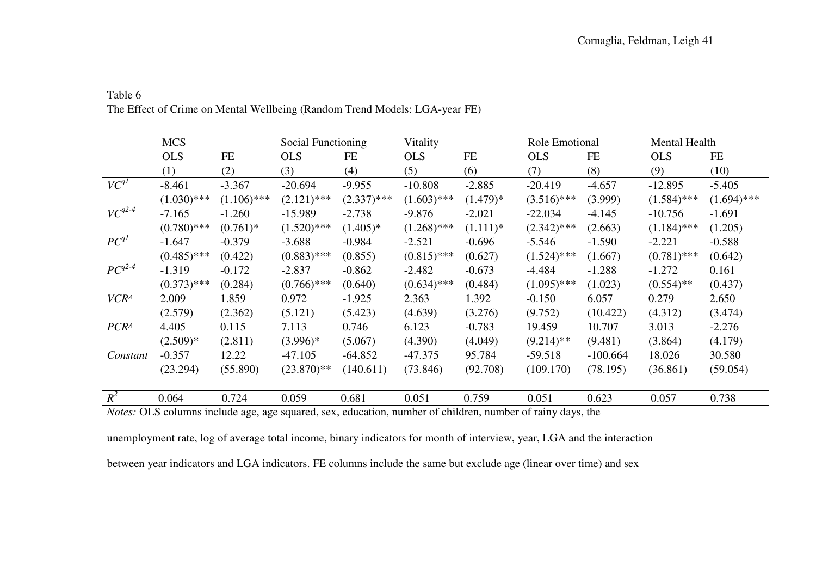### Table 6 The Effect of Crime on Mental Wellbeing (Random Trend Models: LGA-year FE)

|                  | <b>MCS</b>    |               | Social Functioning |               | Vitality      |            | Role Emotional |            | Mental Health |               |
|------------------|---------------|---------------|--------------------|---------------|---------------|------------|----------------|------------|---------------|---------------|
|                  | <b>OLS</b>    | FE            | <b>OLS</b>         | FE            | <b>OLS</b>    | FE         | <b>OLS</b>     | FE         | <b>OLS</b>    | FE            |
|                  | (1)           | (2)           | (3)                | (4)           | (5)           | (6)        | (7)            | (8)        | (9)           | (10)          |
| $VC^{q}$         | $-8.461$      | $-3.367$      | $-20.694$          | $-9.955$      | $-10.808$     | $-2.885$   | $-20.419$      | $-4.657$   | $-12.895$     | $-5.405$      |
|                  | $(1.030)$ *** | $(1.106)$ *** | $(2.121)$ ***      | $(2.337)$ *** | $(1.603)$ *** | $(1.479)*$ | $(3.516)$ ***  | (3.999)    | $(1.584)$ *** | $(1.694)$ *** |
| $VC^{q2-4}$      | $-7.165$      | $-1.260$      | $-15.989$          | $-2.738$      | $-9.876$      | $-2.021$   | $-22.034$      | $-4.145$   | $-10.756$     | $-1.691$      |
|                  | $(0.780)$ *** | $(0.761)^*$   | $(1.520)$ ***      | $(1.405)^*$   | $(1.268)$ *** | $(1.111)*$ | $(2.342)$ ***  | (2.663)    | $(1.184)$ *** | (1.205)       |
| $PC^{q}$         | $-1.647$      | $-0.379$      | $-3.688$           | $-0.984$      | $-2.521$      | $-0.696$   | $-5.546$       | $-1.590$   | $-2.221$      | $-0.588$      |
|                  | $(0.485)$ *** | (0.422)       | $(0.883)$ ***      | (0.855)       | $(0.815)$ *** | (0.627)    | $(1.524)$ ***  | (1.667)    | $(0.781)$ *** | (0.642)       |
| $PC^{q2-4}$      | $-1.319$      | $-0.172$      | $-2.837$           | $-0.862$      | $-2.482$      | $-0.673$   | $-4.484$       | $-1.288$   | $-1.272$      | 0.161         |
|                  | $(0.373)$ *** | (0.284)       | $(0.766)$ ***      | (0.640)       | $(0.634)$ *** | (0.484)    | $(1.095)$ ***  | (1.023)    | $(0.554)$ **  | (0.437)       |
| $VCR^{\wedge}$   | 2.009         | 1.859         | 0.972              | $-1.925$      | 2.363         | 1.392      | $-0.150$       | 6.057      | 0.279         | 2.650         |
|                  | (2.579)       | (2.362)       | (5.121)            | (5.423)       | (4.639)       | (3.276)    | (9.752)        | (10.422)   | (4.312)       | (3.474)       |
| PCR <sup>1</sup> | 4.405         | 0.115         | 7.113              | 0.746         | 6.123         | $-0.783$   | 19.459         | 10.707     | 3.013         | $-2.276$      |
|                  | $(2.509)*$    | (2.811)       | $(3.996)^*$        | (5.067)       | (4.390)       | (4.049)    | $(9.214)$ **   | (9.481)    | (3.864)       | (4.179)       |
| Constant         | $-0.357$      | 12.22         | $-47.105$          | $-64.852$     | -47.375       | 95.784     | $-59.518$      | $-100.664$ | 18.026        | 30.580        |
|                  | (23.294)      | (55.890)      | $(23.870)$ **      | (140.611)     | (73.846)      | (92.708)   | (109.170)      | (78.195)   | (36.861)      | (59.054)      |
|                  |               |               |                    |               |               |            |                |            |               |               |
| $R^2$            | 0.064         | 0.724         | 0.059              | 0.681         | 0.051         | 0.759      | 0.051          | 0.623      | 0.057         | 0.738         |

*Notes:* OLS columns include age, age squared, sex, education, number of children, number of rainy days, the

unemployment rate, log of average total income, binary indicators for month of interview, year, LGA and the interaction

between year indicators and LGA indicators. FE columns include the same but exclude age (linear over time) and sex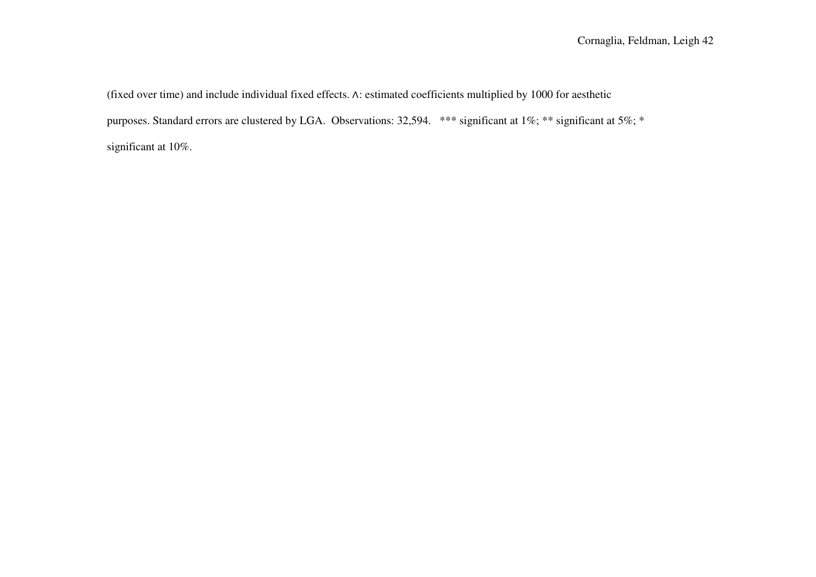(fixed over time) and include individual fixed effects. ∧: estimated coefficients multiplied by 1000 for aesthetic purposes. Standard errors are clustered by LGA. Observations: 32,594. \*\*\* significant at 1%; \*\* significant at 5%; \* significant at 10%.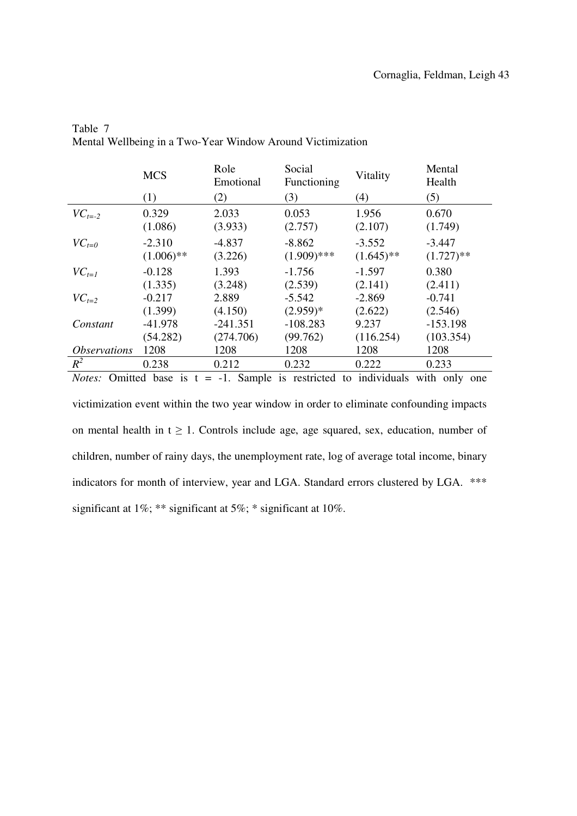|                            | <b>MCS</b>                                                                   | Role<br>Emotional   | Social<br>Functioning     | Vitality                 | Mental<br>Health         |  |  |  |
|----------------------------|------------------------------------------------------------------------------|---------------------|---------------------------|--------------------------|--------------------------|--|--|--|
|                            | (1)                                                                          | (2)                 | (3)                       | (4)                      | (5)                      |  |  |  |
| $VC_{t=2}$                 | 0.329<br>(1.086)                                                             | 2.033<br>(3.933)    | 0.053<br>(2.757)          | 1.956<br>(2.107)         | 0.670<br>(1.749)         |  |  |  |
| $VC_{t=0}$                 | $-2.310$<br>$(1.006)$ **                                                     | $-4.837$<br>(3.226) | $-8.862$<br>$(1.909)$ *** | $-3.552$<br>$(1.645)$ ** | $-3.447$<br>$(1.727)$ ** |  |  |  |
| $VC_{t=1}$                 | $-0.128$                                                                     | 1.393               | $-1.756$                  | $-1.597$                 | 0.380                    |  |  |  |
|                            | (1.335)                                                                      | (3.248)             | (2.539)                   | (2.141)                  | (2.411)                  |  |  |  |
| $VC_{t=2}$                 | $-0.217$                                                                     | 2.889               | $-5.542$                  | $-2.869$                 | $-0.741$                 |  |  |  |
|                            | (1.399)                                                                      | (4.150)             | $(2.959)*$                | (2.622)                  | (2.546)                  |  |  |  |
| Constant                   | $-41.978$                                                                    | $-241.351$          | $-108.283$                | 9.237                    | $-153.198$               |  |  |  |
|                            | (54.282)                                                                     | (274.706)           | (99.762)                  | (116.254)                | (103.354)                |  |  |  |
| <i><b>Observations</b></i> | 1208                                                                         | 1208                | 1208                      | 1208                     | 1208                     |  |  |  |
| $R^2$                      | 0.238                                                                        | 0.212               | 0.232                     | 0.222                    | 0.233                    |  |  |  |
| Notes:                     | Omitted base is $t = -1$ . Sample is restricted to individuals with only one |                     |                           |                          |                          |  |  |  |

Table 7 Mental Wellbeing in a Two-Year Window Around Victimization

victimization event within the two year window in order to eliminate confounding impacts on mental health in  $t \geq 1$ . Controls include age, age squared, sex, education, number of children, number of rainy days, the unemployment rate, log of average total income, binary indicators for month of interview, year and LGA. Standard errors clustered by LGA. \*\*\* significant at 1%; \*\* significant at 5%; \* significant at 10%.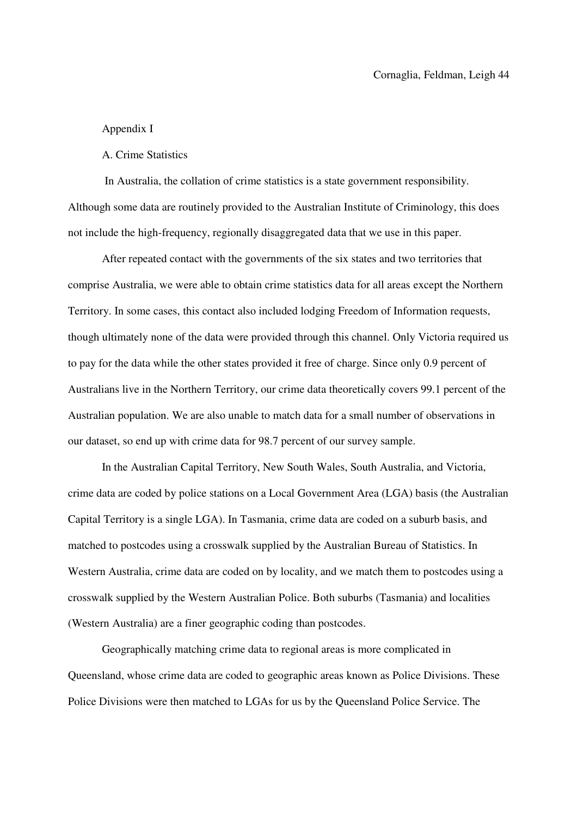#### Appendix I

A. Crime Statistics

 In Australia, the collation of crime statistics is a state government responsibility. Although some data are routinely provided to the Australian Institute of Criminology, this does not include the high-frequency, regionally disaggregated data that we use in this paper.

After repeated contact with the governments of the six states and two territories that comprise Australia, we were able to obtain crime statistics data for all areas except the Northern Territory. In some cases, this contact also included lodging Freedom of Information requests, though ultimately none of the data were provided through this channel. Only Victoria required us to pay for the data while the other states provided it free of charge. Since only 0.9 percent of Australians live in the Northern Territory, our crime data theoretically covers 99.1 percent of the Australian population. We are also unable to match data for a small number of observations in our dataset, so end up with crime data for 98.7 percent of our survey sample.

In the Australian Capital Territory, New South Wales, South Australia, and Victoria, crime data are coded by police stations on a Local Government Area (LGA) basis (the Australian Capital Territory is a single LGA). In Tasmania, crime data are coded on a suburb basis, and matched to postcodes using a crosswalk supplied by the Australian Bureau of Statistics. In Western Australia, crime data are coded on by locality, and we match them to postcodes using a crosswalk supplied by the Western Australian Police. Both suburbs (Tasmania) and localities (Western Australia) are a finer geographic coding than postcodes.

Geographically matching crime data to regional areas is more complicated in Queensland, whose crime data are coded to geographic areas known as Police Divisions. These Police Divisions were then matched to LGAs for us by the Queensland Police Service. The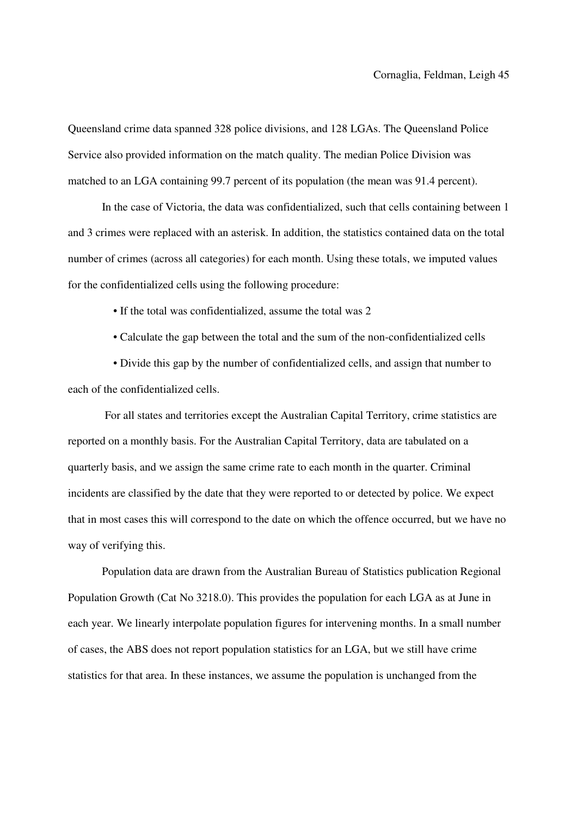Queensland crime data spanned 328 police divisions, and 128 LGAs. The Queensland Police Service also provided information on the match quality. The median Police Division was matched to an LGA containing 99.7 percent of its population (the mean was 91.4 percent).

In the case of Victoria, the data was confidentialized, such that cells containing between 1 and 3 crimes were replaced with an asterisk. In addition, the statistics contained data on the total number of crimes (across all categories) for each month. Using these totals, we imputed values for the confidentialized cells using the following procedure:

- If the total was confidentialized, assume the total was 2
- Calculate the gap between the total and the sum of the non-confidentialized cells

 • Divide this gap by the number of confidentialized cells, and assign that number to each of the confidentialized cells.

 For all states and territories except the Australian Capital Territory, crime statistics are reported on a monthly basis. For the Australian Capital Territory, data are tabulated on a quarterly basis, and we assign the same crime rate to each month in the quarter. Criminal incidents are classified by the date that they were reported to or detected by police. We expect that in most cases this will correspond to the date on which the offence occurred, but we have no way of verifying this.

Population data are drawn from the Australian Bureau of Statistics publication Regional Population Growth (Cat No 3218.0). This provides the population for each LGA as at June in each year. We linearly interpolate population figures for intervening months. In a small number of cases, the ABS does not report population statistics for an LGA, but we still have crime statistics for that area. In these instances, we assume the population is unchanged from the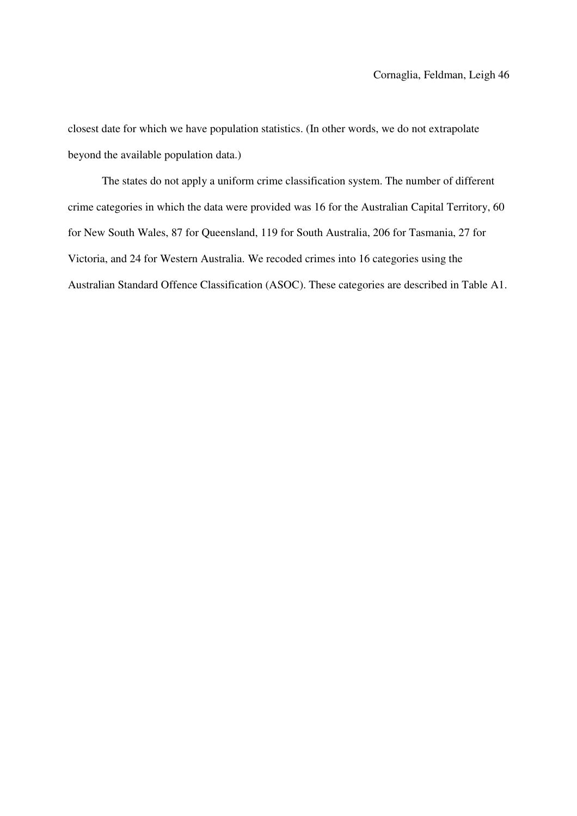closest date for which we have population statistics. (In other words, we do not extrapolate beyond the available population data.)

The states do not apply a uniform crime classification system. The number of different crime categories in which the data were provided was 16 for the Australian Capital Territory, 60 for New South Wales, 87 for Queensland, 119 for South Australia, 206 for Tasmania, 27 for Victoria, and 24 for Western Australia. We recoded crimes into 16 categories using the Australian Standard Offence Classification (ASOC). These categories are described in Table A1.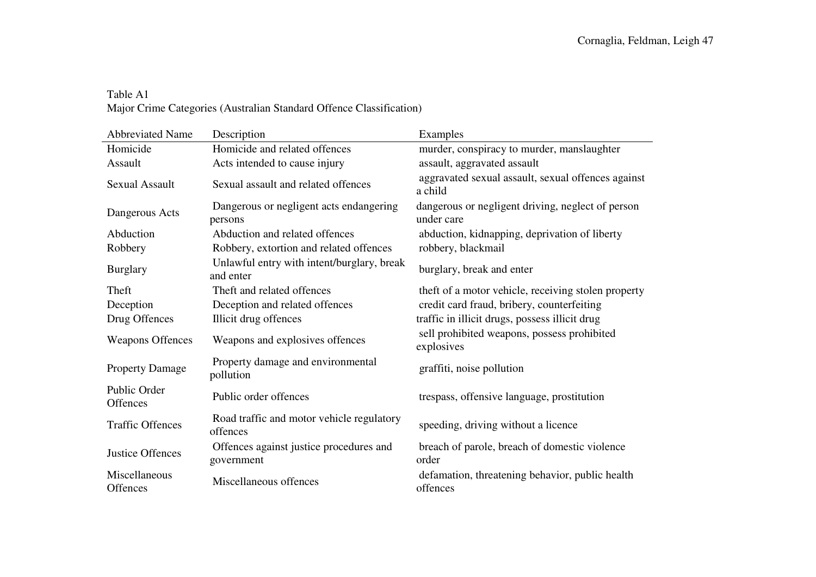### Table A1 Major Crime Categories (Australian Standard Offence Classification)

| <b>Abbreviated Name</b>         | Description                                             | Examples                                                        |
|---------------------------------|---------------------------------------------------------|-----------------------------------------------------------------|
| Homicide                        | Homicide and related offences                           | murder, conspiracy to murder, manslaughter                      |
| Assault                         | Acts intended to cause injury                           | assault, aggravated assault                                     |
| <b>Sexual Assault</b>           | Sexual assault and related offences                     | aggravated sexual assault, sexual offences against<br>a child   |
| Dangerous Acts                  | Dangerous or negligent acts endangering<br>persons      | dangerous or negligent driving, neglect of person<br>under care |
| Abduction                       | Abduction and related offences                          | abduction, kidnapping, deprivation of liberty                   |
| Robbery                         | Robbery, extortion and related offences                 | robbery, blackmail                                              |
| <b>Burglary</b>                 | Unlawful entry with intent/burglary, break<br>and enter | burglary, break and enter                                       |
| Theft                           | Theft and related offences                              | theft of a motor vehicle, receiving stolen property             |
| Deception                       | Deception and related offences                          | credit card fraud, bribery, counterfeiting                      |
| Drug Offences                   | Illicit drug offences                                   | traffic in illicit drugs, possess illicit drug                  |
| <b>Weapons Offences</b>         | Weapons and explosives offences                         | sell prohibited weapons, possess prohibited<br>explosives       |
| <b>Property Damage</b>          | Property damage and environmental<br>pollution          | graffiti, noise pollution                                       |
| Public Order<br><b>Offences</b> | Public order offences                                   | trespass, offensive language, prostitution                      |
| <b>Traffic Offences</b>         | Road traffic and motor vehicle regulatory<br>offences   | speeding, driving without a licence                             |
| Justice Offences                | Offences against justice procedures and<br>government   | breach of parole, breach of domestic violence<br>order          |
| Miscellaneous<br>Offences       | Miscellaneous offences                                  | defamation, threatening behavior, public health<br>offences     |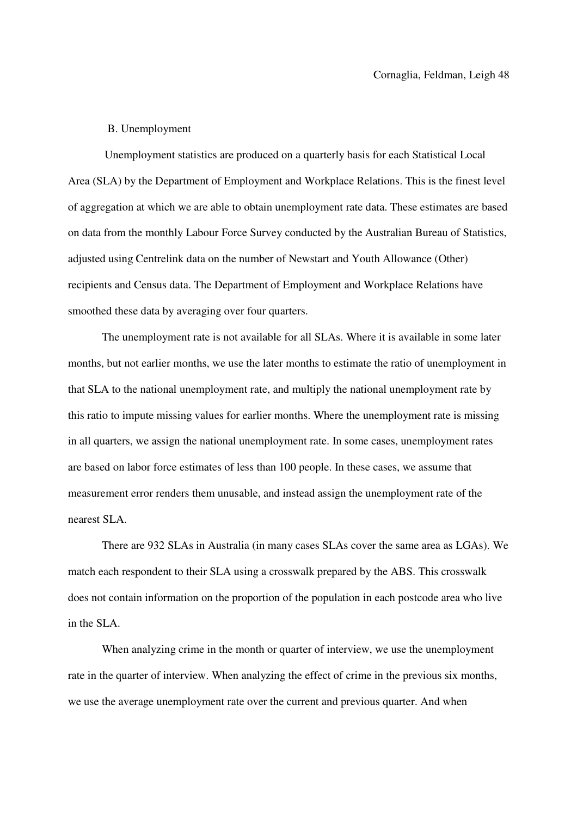#### B. Unemployment

 Unemployment statistics are produced on a quarterly basis for each Statistical Local Area (SLA) by the Department of Employment and Workplace Relations. This is the finest level of aggregation at which we are able to obtain unemployment rate data. These estimates are based on data from the monthly Labour Force Survey conducted by the Australian Bureau of Statistics, adjusted using Centrelink data on the number of Newstart and Youth Allowance (Other) recipients and Census data. The Department of Employment and Workplace Relations have smoothed these data by averaging over four quarters.

The unemployment rate is not available for all SLAs. Where it is available in some later months, but not earlier months, we use the later months to estimate the ratio of unemployment in that SLA to the national unemployment rate, and multiply the national unemployment rate by this ratio to impute missing values for earlier months. Where the unemployment rate is missing in all quarters, we assign the national unemployment rate. In some cases, unemployment rates are based on labor force estimates of less than 100 people. In these cases, we assume that measurement error renders them unusable, and instead assign the unemployment rate of the nearest SLA.

There are 932 SLAs in Australia (in many cases SLAs cover the same area as LGAs). We match each respondent to their SLA using a crosswalk prepared by the ABS. This crosswalk does not contain information on the proportion of the population in each postcode area who live in the SLA.

When analyzing crime in the month or quarter of interview, we use the unemployment rate in the quarter of interview. When analyzing the effect of crime in the previous six months, we use the average unemployment rate over the current and previous quarter. And when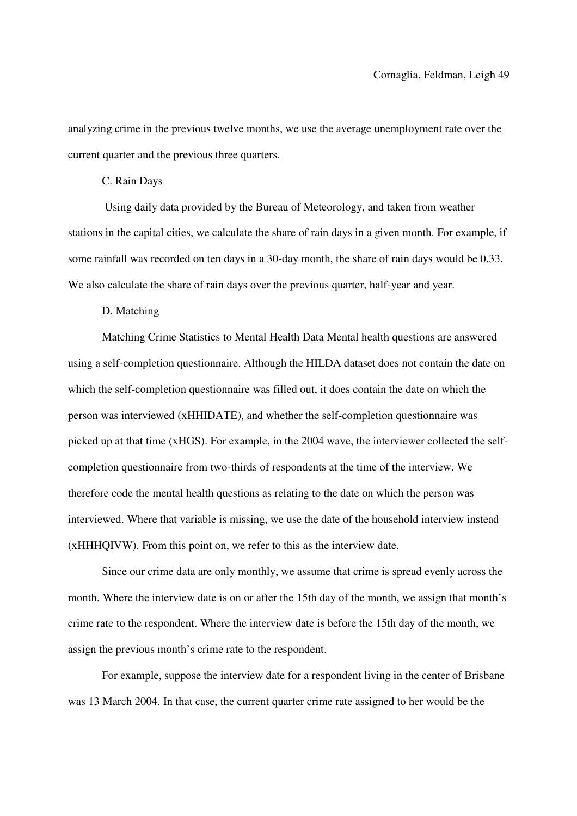analyzing crime in the previous twelve months, we use the average unemployment rate over the current quarter and the previous three quarters.

#### C. Rain Days

 Using daily data provided by the Bureau of Meteorology, and taken from weather stations in the capital cities, we calculate the share of rain days in a given month. For example, if some rainfall was recorded on ten days in a 30-day month, the share of rain days would be 0.33. We also calculate the share of rain days over the previous quarter, half-year and year.

#### D. Matching

Matching Crime Statistics to Mental Health Data Mental health questions are answered using a self-completion questionnaire. Although the HILDA dataset does not contain the date on which the self-completion questionnaire was filled out, it does contain the date on which the person was interviewed (xHHIDATE), and whether the self-completion questionnaire was picked up at that time (xHGS). For example, in the 2004 wave, the interviewer collected the selfcompletion questionnaire from two-thirds of respondents at the time of the interview. We therefore code the mental health questions as relating to the date on which the person was interviewed. Where that variable is missing, we use the date of the household interview instead (xHHHQIVW). From this point on, we refer to this as the interview date.

Since our crime data are only monthly, we assume that crime is spread evenly across the month. Where the interview date is on or after the 15th day of the month, we assign that month's crime rate to the respondent. Where the interview date is before the 15th day of the month, we assign the previous month's crime rate to the respondent.

For example, suppose the interview date for a respondent living in the center of Brisbane was 13 March 2004. In that case, the current quarter crime rate assigned to her would be the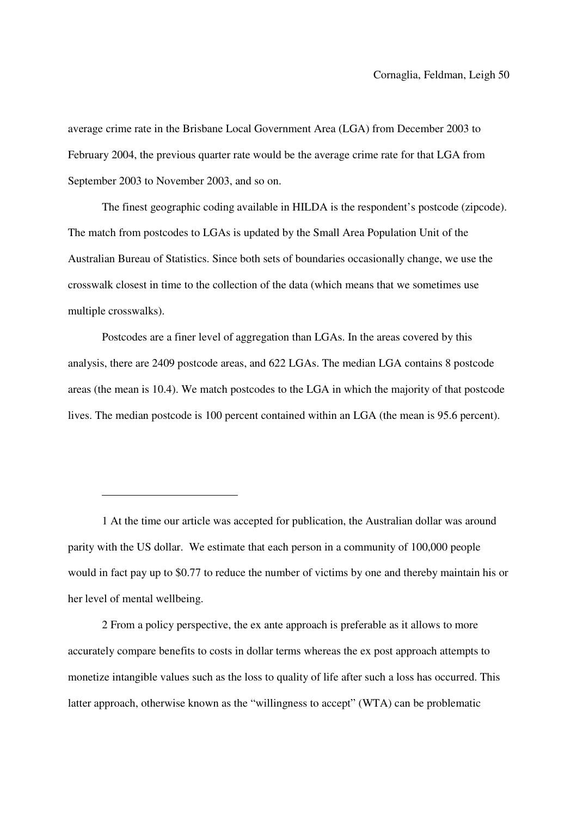average crime rate in the Brisbane Local Government Area (LGA) from December 2003 to February 2004, the previous quarter rate would be the average crime rate for that LGA from September 2003 to November 2003, and so on.

The finest geographic coding available in HILDA is the respondent's postcode (zipcode). The match from postcodes to LGAs is updated by the Small Area Population Unit of the Australian Bureau of Statistics. Since both sets of boundaries occasionally change, we use the crosswalk closest in time to the collection of the data (which means that we sometimes use multiple crosswalks).

Postcodes are a finer level of aggregation than LGAs. In the areas covered by this analysis, there are 2409 postcode areas, and 622 LGAs. The median LGA contains 8 postcode areas (the mean is 10.4). We match postcodes to the LGA in which the majority of that postcode lives. The median postcode is 100 percent contained within an LGA (the mean is 95.6 percent).

1 At the time our article was accepted for publication, the Australian dollar was around parity with the US dollar. We estimate that each person in a community of 100,000 people would in fact pay up to \$0.77 to reduce the number of victims by one and thereby maintain his or her level of mental wellbeing.

 $\overline{a}$ 

2 From a policy perspective, the ex ante approach is preferable as it allows to more accurately compare benefits to costs in dollar terms whereas the ex post approach attempts to monetize intangible values such as the loss to quality of life after such a loss has occurred. This latter approach, otherwise known as the "willingness to accept" (WTA) can be problematic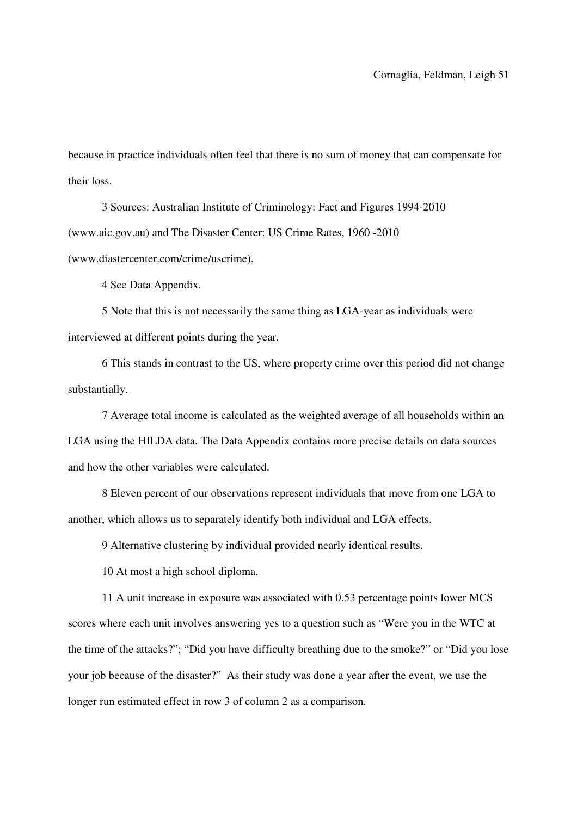because in practice individuals often feel that there is no sum of money that can compensate for their loss.

3 Sources: Australian Institute of Criminology: Fact and Figures 1994-2010 (www.aic.gov.au) and The Disaster Center: US Crime Rates, 1960 -2010 (www.diastercenter.com/crime/uscrime).

4 See Data Appendix.

5 Note that this is not necessarily the same thing as LGA-year as individuals were interviewed at different points during the year.

6 This stands in contrast to the US, where property crime over this period did not change substantially.

7 Average total income is calculated as the weighted average of all households within an LGA using the HILDA data. The Data Appendix contains more precise details on data sources and how the other variables were calculated.

8 Eleven percent of our observations represent individuals that move from one LGA to another, which allows us to separately identify both individual and LGA effects.

9 Alternative clustering by individual provided nearly identical results.

10 At most a high school diploma.

11 A unit increase in exposure was associated with 0.53 percentage points lower MCS scores where each unit involves answering yes to a question such as "Were you in the WTC at the time of the attacks?"; "Did you have difficulty breathing due to the smoke?" or "Did you lose your job because of the disaster?" As their study was done a year after the event, we use the longer run estimated effect in row 3 of column 2 as a comparison.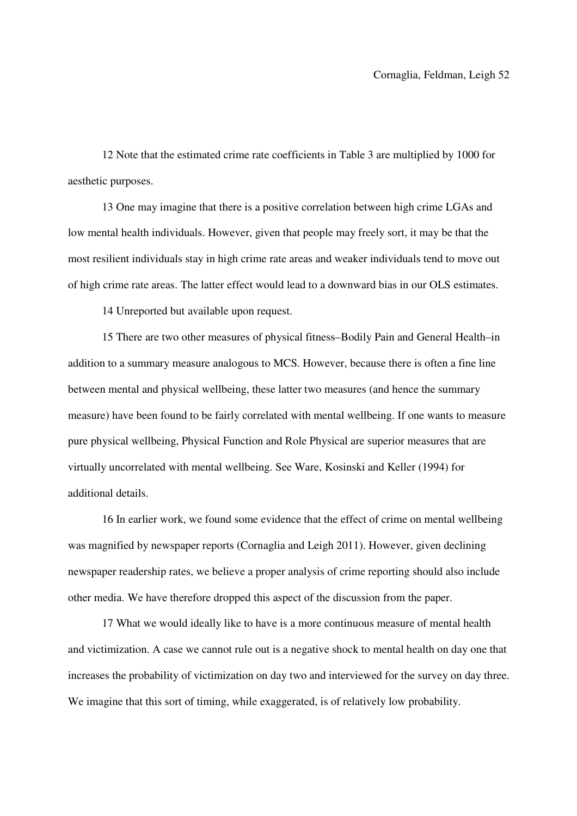12 Note that the estimated crime rate coefficients in Table 3 are multiplied by 1000 for aesthetic purposes.

13 One may imagine that there is a positive correlation between high crime LGAs and low mental health individuals. However, given that people may freely sort, it may be that the most resilient individuals stay in high crime rate areas and weaker individuals tend to move out of high crime rate areas. The latter effect would lead to a downward bias in our OLS estimates.

14 Unreported but available upon request.

15 There are two other measures of physical fitness–Bodily Pain and General Health–in addition to a summary measure analogous to MCS. However, because there is often a fine line between mental and physical wellbeing, these latter two measures (and hence the summary measure) have been found to be fairly correlated with mental wellbeing. If one wants to measure pure physical wellbeing, Physical Function and Role Physical are superior measures that are virtually uncorrelated with mental wellbeing. See Ware, Kosinski and Keller (1994) for additional details.

16 In earlier work, we found some evidence that the effect of crime on mental wellbeing was magnified by newspaper reports (Cornaglia and Leigh 2011). However, given declining newspaper readership rates, we believe a proper analysis of crime reporting should also include other media. We have therefore dropped this aspect of the discussion from the paper.

17 What we would ideally like to have is a more continuous measure of mental health and victimization. A case we cannot rule out is a negative shock to mental health on day one that increases the probability of victimization on day two and interviewed for the survey on day three. We imagine that this sort of timing, while exaggerated, is of relatively low probability.